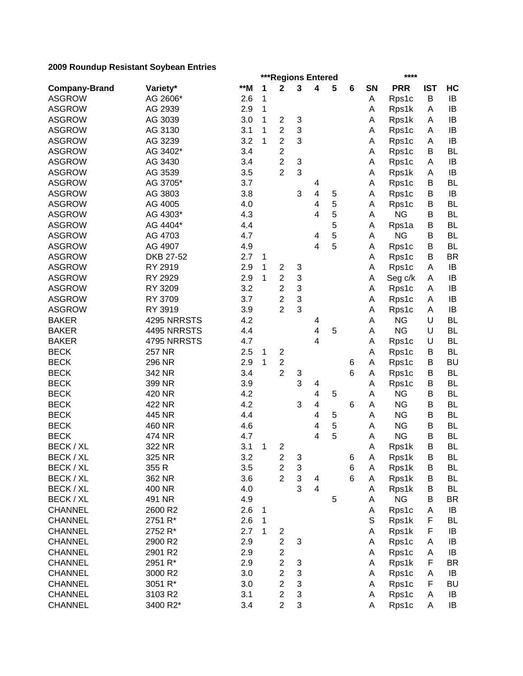|                             | ***Regions Entered<br>**** |       |        |                                  |        |                         |   |        |           |            |            |                        |  |
|-----------------------------|----------------------------|-------|--------|----------------------------------|--------|-------------------------|---|--------|-----------|------------|------------|------------------------|--|
| <b>Company-Brand</b>        | Variety*                   | $**M$ | 1      | $\mathbf 2$                      | 3      | 4                       | 5 | 6      | <b>SN</b> | <b>PRR</b> | <b>IST</b> | HC                     |  |
| <b>ASGROW</b>               | AG 2606*                   | 2.6   | 1      |                                  |        |                         |   |        | Α         | Rps1c      | B          | IB                     |  |
| <b>ASGROW</b>               | AG 2939                    | 2.9   | 1      |                                  |        |                         |   |        | Α         | Rps1k      | A          | IB                     |  |
| <b>ASGROW</b>               | AG 3039                    | 3.0   | 1      | $\overline{c}$                   | 3      |                         |   |        | А         | Rps1k      | A          | IB                     |  |
| <b>ASGROW</b>               | AG 3130                    | 3.1   | 1      | $\overline{c}$                   | 3      |                         |   |        | А         | Rps1c      | A          | IB                     |  |
| <b>ASGROW</b>               | AG 3239                    | 3.2   | 1      | $\overline{2}$                   | 3      |                         |   |        | Α         | Rps1c      | A          | IB                     |  |
| <b>ASGROW</b>               | AG 3402*                   | 3.4   |        | $\overline{c}$                   |        |                         |   |        | Α         | Rps1c      | B          | <b>BL</b>              |  |
| <b>ASGROW</b>               | AG 3430                    | 3.4   |        | $\overline{2}$                   | 3      |                         |   |        | Α         | Rps1c      | A          | IB                     |  |
| <b>ASGROW</b>               | AG 3539                    | 3.5   |        | $\overline{2}$                   | 3      |                         |   |        | А         | Rps1k      | A          | IB                     |  |
| <b>ASGROW</b>               | AG 3705*                   | 3.7   |        |                                  |        | 4                       |   |        | Α         | Rps1c      | B          | <b>BL</b>              |  |
| <b>ASGROW</b>               | AG 3803                    | 3.8   |        |                                  | 3      | $\overline{\mathbf{4}}$ | 5 |        | A         | Rps1c      | B          | IB                     |  |
| <b>ASGROW</b>               | AG 4005                    | 4.0   |        |                                  |        | 4                       | 5 |        | A         | Rps1c      | B          | <b>BL</b>              |  |
| <b>ASGROW</b>               | AG 4303*                   | 4.3   |        |                                  |        | 4                       | 5 |        | A         | <b>NG</b>  | B          | <b>BL</b>              |  |
| <b>ASGROW</b>               | AG 4404*                   | 4.4   |        |                                  |        |                         | 5 |        | A         | Rps1a      | В          | <b>BL</b>              |  |
| <b>ASGROW</b>               | AG 4703                    | 4.7   |        |                                  |        | 4                       | 5 |        | A         | <b>NG</b>  | В          | <b>BL</b>              |  |
| <b>ASGROW</b>               | AG 4907                    | 4.9   |        |                                  |        | 4                       | 5 |        | A         | Rps1c      | В          | <b>BL</b>              |  |
| <b>ASGROW</b>               | DKB 27-52                  | 2.7   | 1      |                                  |        |                         |   |        | A         | Rps1c      | В          | <b>BR</b>              |  |
| <b>ASGROW</b>               | RY 2919                    | 2.9   | 1      | $\overline{c}$                   | 3      |                         |   |        | Α         | Rps1c      | A          | IB                     |  |
| <b>ASGROW</b>               | RY 2929                    | 2.9   | 1      | $\overline{\mathbf{c}}$          | 3      |                         |   |        | А         | Seg c/k    | A          | IB                     |  |
| <b>ASGROW</b>               | RY 3209                    | 3.2   |        | $\overline{c}$                   | 3      |                         |   |        | А         | Rps1c      | A          | IB                     |  |
| <b>ASGROW</b>               | RY 3709                    | 3.7   |        | $\overline{\mathbf{c}}$          | 3      |                         |   |        | А         | Rps1c      | A          | IB                     |  |
| <b>ASGROW</b>               | RY 3919                    | 3.9   |        | $\overline{2}$                   | 3      |                         |   |        | А         | Rps1c      | A          | IB                     |  |
| <b>BAKER</b>                | 4295 NRRSTS                | 4.2   |        |                                  |        | 4                       |   |        | А         | <b>NG</b>  | U          | <b>BL</b>              |  |
| <b>BAKER</b>                | 4495 NRRSTS                | 4.4   |        |                                  |        | $\overline{\mathbf{4}}$ | 5 |        | А         | <b>NG</b>  | U          | <b>BL</b>              |  |
|                             |                            |       |        |                                  |        | $\overline{\mathbf{4}}$ |   |        |           |            |            |                        |  |
| <b>BAKER</b><br><b>BECK</b> | 4795 NRRSTS                | 4.7   |        |                                  |        |                         |   |        | А         | Rps1c      | $\cup$     | <b>BL</b><br><b>BL</b> |  |
| <b>BECK</b>                 | <b>257 NR</b>              | 2.5   | 1<br>1 | $\overline{c}$<br>$\overline{c}$ |        |                         |   |        | Α         | Rps1c      | B<br>B     | <b>BU</b>              |  |
|                             | 296 NR                     | 2.9   |        | $\overline{2}$                   |        |                         |   | 6<br>6 | Α         | Rps1c      |            |                        |  |
| <b>BECK</b>                 | 342 NR                     | 3.4   |        |                                  | 3<br>3 |                         |   |        | A         | Rps1c      | B          | <b>BL</b>              |  |
| <b>BECK</b>                 | 399 NR                     | 3.9   |        |                                  |        | 4                       |   |        | А         | Rps1c      | B          | BL                     |  |
| <b>BECK</b>                 | 420 NR                     | 4.2   |        |                                  |        | 4                       | 5 |        | А         | <b>NG</b>  | B          | BL                     |  |
| <b>BECK</b>                 | 422 NR                     | 4.2   |        |                                  | 3      | 4                       |   | 6      | Α         | <b>NG</b>  | B          | <b>BL</b>              |  |
| <b>BECK</b>                 | 445 NR                     | 4.4   |        |                                  |        | 4                       | 5 |        | Α         | <b>NG</b>  | B          | <b>BL</b>              |  |
| <b>BECK</b>                 | 460 NR                     | 4.6   |        |                                  |        | 4                       | 5 |        | Α         | <b>NG</b>  | B          | <b>BL</b>              |  |
| <b>BECK</b>                 | 474 NR                     | 4.7   |        |                                  |        | 4                       | 5 |        | А         | <b>NG</b>  | B          | <b>BL</b>              |  |
| BECK / XL                   | 322 NR                     | 3.1   | 1      | $\overline{c}$                   |        |                         |   |        | A         | Rps1k      | B          | <b>BL</b>              |  |
| BECK / XL                   | 325 NR                     | 3.2   |        | $\overline{\mathbf{c}}$          | 3      |                         |   | 6      | A         | Rps1k      | В          | BL                     |  |
| BECK / XL                   | 355 R                      | 3.5   |        | $\overline{c}$                   | 3      |                         |   | 6      | A         | Rps1k      | B          | BL                     |  |
| BECK / XL                   | 362 NR                     | 3.6   |        | $\overline{2}$                   | 3      | 4                       |   | 6      | Α         | Rps1k      | Β          | <b>BL</b>              |  |
| BECK / XL                   | 400 NR                     | 4.0   |        |                                  | 3      | 4                       |   |        | A         | Rps1k      | B          | <b>BL</b>              |  |
| BECK / XL                   | 491 NR                     | 4.9   |        |                                  |        |                         | 5 |        | Α         | <b>NG</b>  | В          | <b>BR</b>              |  |
| <b>CHANNEL</b>              | 2600 R2                    | 2.6   | 1      |                                  |        |                         |   |        | Α         | Rps1c      | A          | IB                     |  |
| <b>CHANNEL</b>              | 2751 R*                    | 2.6   | 1      |                                  |        |                         |   |        | S         | Rps1k      | F          | BL                     |  |
| <b>CHANNEL</b>              | 2752 R*                    | 2.7   | 1      | $\overline{\mathbf{c}}$          |        |                         |   |        | A         | Rps1k      | F          | IB                     |  |
| <b>CHANNEL</b>              | 2900 R2                    | 2.9   |        | $\overline{c}$                   | 3      |                         |   |        | Α         | Rps1c      | Α          | IB                     |  |
| <b>CHANNEL</b>              | 2901 R2                    | 2.9   |        | $\overline{\mathbf{c}}$          |        |                         |   |        | Α         | Rps1c      | Α          | IB                     |  |
| <b>CHANNEL</b>              | 2951 R*                    | 2.9   |        | $\overline{c}$                   | 3      |                         |   |        | Α         | Rps1k      | F          | <b>BR</b>              |  |
| <b>CHANNEL</b>              | 3000 R2                    | 3.0   |        | $\overline{c}$                   | 3      |                         |   |        | Α         | Rps1c      | Α          | IB                     |  |
| <b>CHANNEL</b>              | 3051 R*                    | 3.0   |        | $\overline{2}$                   | 3      |                         |   |        | Α         | Rps1c      | F          | <b>BU</b>              |  |
| <b>CHANNEL</b>              | 3103 R2                    | 3.1   |        | $\overline{2}$                   | 3      |                         |   |        | Α         | Rps1c      | Α          | IB                     |  |
| <b>CHANNEL</b>              | 3400 R2*                   | 3.4   |        | $\overline{2}$                   | 3      |                         |   |        | A         | Rps1c      | A          | IB                     |  |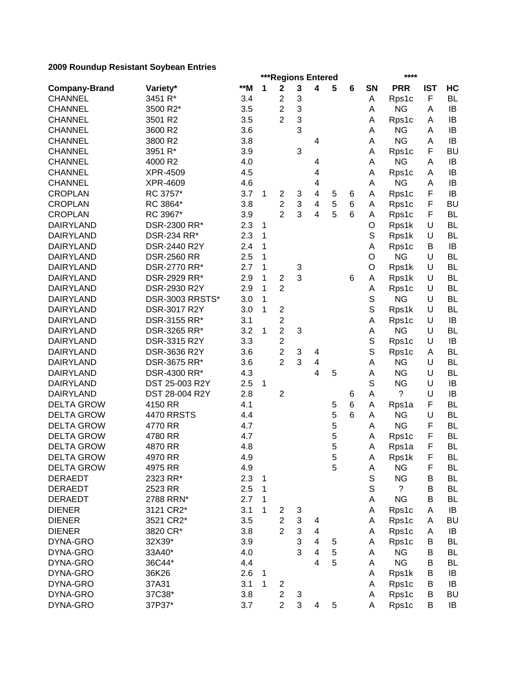|                      |                              |       |   |                |                           | ***Regions Entered           |   |   |                  | ****               |            |           |
|----------------------|------------------------------|-------|---|----------------|---------------------------|------------------------------|---|---|------------------|--------------------|------------|-----------|
| <b>Company-Brand</b> | Variety*                     | $**M$ | 1 | $\mathbf 2$    | 3                         | 4                            | 5 | 6 | <b>SN</b>        | <b>PRR</b>         | <b>IST</b> | HC        |
| <b>CHANNEL</b>       | 3451 R*                      | 3.4   |   | $\overline{c}$ | 3                         |                              |   |   | Α                | Rps1c              | F          | <b>BL</b> |
| <b>CHANNEL</b>       | 3500 R2*                     | 3.5   |   | $\overline{2}$ | 3                         |                              |   |   | Α                | <b>NG</b>          | A          | IB        |
| <b>CHANNEL</b>       | 3501 R2                      | 3.5   |   | $\overline{2}$ | 3                         |                              |   |   | А                | Rps1c              | Α          | IB        |
| <b>CHANNEL</b>       | 3600 R2                      | 3.6   |   |                | 3                         |                              |   |   | Α                | <b>NG</b>          | Α          | IB        |
| <b>CHANNEL</b>       | 3800 R2                      | 3.8   |   |                |                           | 4                            |   |   | Α                | <b>NG</b>          | Α          | IB        |
| <b>CHANNEL</b>       | 3951 R*                      | 3.9   |   |                | 3                         |                              |   |   | A                | Rps1c              | F          | <b>BU</b> |
| <b>CHANNEL</b>       | 4000 R2                      | 4.0   |   |                |                           | 4                            |   |   | Α                | <b>NG</b>          | A          | IB        |
| <b>CHANNEL</b>       | XPR-4509                     | 4.5   |   |                |                           | 4                            |   |   | Α                | Rps1c              | A          | IB        |
| <b>CHANNEL</b>       | XPR-4609                     | 4.6   |   |                |                           | $\overline{\mathbf{4}}$      |   |   | A                | <b>NG</b>          | A          | IB        |
| <b>CROPLAN</b>       | RC 3757*                     | 3.7   | 1 | $\overline{2}$ | 3                         | 4                            | 5 | 6 | A                | Rps1c              | F          | IB        |
| <b>CROPLAN</b>       | RC 3864*                     | 3.8   |   | $\overline{2}$ | $\ensuremath{\mathsf{3}}$ | 4                            | 5 | 6 | A                | Rps1c              | F          | <b>BU</b> |
| <b>CROPLAN</b>       | RC 3967*                     | 3.9   |   | $\overline{2}$ | 3                         | 4                            | 5 | 6 | A                | Rps1c              | F          | <b>BL</b> |
| <b>DAIRYLAND</b>     | DSR-2300 RR*                 | 2.3   | 1 |                |                           |                              |   |   | O                | Rps1k              | U          | <b>BL</b> |
| <b>DAIRYLAND</b>     | DSR-234 RR*                  | 2.3   | 1 |                |                           |                              |   |   | S                | Rps1k              | U          | <b>BL</b> |
| <b>DAIRYLAND</b>     | DSR-2440 R2Y                 | 2.4   | 1 |                |                           |                              |   |   | Α                | Rps1c              | В          | IB        |
| <b>DAIRYLAND</b>     | <b>DSR-2560 RR</b>           | 2.5   | 1 |                |                           |                              |   |   | O                | <b>NG</b>          | U          | <b>BL</b> |
| <b>DAIRYLAND</b>     | DSR-2770 RR*                 | 2.7   | 1 |                | 3                         |                              |   |   | O                | Rps1k              | U          | <b>BL</b> |
| <b>DAIRYLAND</b>     | DSR-2929 RR*                 | 2.9   | 1 | $\overline{c}$ | 3                         |                              |   | 6 | Α                | Rps1k              | U          | <b>BL</b> |
| <b>DAIRYLAND</b>     | DSR-2930 R2Y                 | 2.9   | 1 | $\overline{2}$ |                           |                              |   |   | А                | Rps1c              | U          | <b>BL</b> |
| <b>DAIRYLAND</b>     | DSR-3003 RRSTS*              | 3.0   | 1 |                |                           |                              |   |   | S                | <b>NG</b>          | U          | <b>BL</b> |
| <b>DAIRYLAND</b>     | DSR-3017 R2Y                 | 3.0   | 1 | $\overline{c}$ |                           |                              |   |   | $\mathbb S$      | Rps1k              | U          | <b>BL</b> |
| <b>DAIRYLAND</b>     | DSR-3155 RR*                 | 3.1   |   | $\mathbf{2}$   |                           |                              |   |   | Α                |                    | U          | IB        |
| <b>DAIRYLAND</b>     | DSR-3265 RR*                 | 3.2   | 1 | $\overline{2}$ | 3                         |                              |   |   | Α                | Rps1c<br><b>NG</b> | U          | BL        |
| <b>DAIRYLAND</b>     | DSR-3315 R2Y                 | 3.3   |   | $\overline{2}$ |                           |                              |   |   | S                |                    | U          | IB        |
| <b>DAIRYLAND</b>     |                              | 3.6   |   | $\overline{2}$ | 3                         |                              |   |   | S                | Rps1c              | A          | BL        |
| <b>DAIRYLAND</b>     | DSR-3636 R2Y<br>DSR-3675 RR* | 3.6   |   | $\overline{2}$ | 3                         | 4<br>$\overline{\mathbf{4}}$ |   |   | A                | Rps1c<br><b>NG</b> | U          | <b>BL</b> |
| <b>DAIRYLAND</b>     | DSR-4300 RR*                 | 4.3   |   |                |                           | 4                            | 5 |   |                  | <b>NG</b>          | U          | BL        |
|                      |                              |       |   |                |                           |                              |   |   | А<br>$\mathbb S$ | <b>NG</b>          | U          |           |
| <b>DAIRYLAND</b>     | DST 25-003 R2Y               | 2.5   | 1 |                |                           |                              |   |   |                  |                    |            | IB        |
| <b>DAIRYLAND</b>     | DST 28-004 R2Y               | 2.8   |   | $\overline{2}$ |                           |                              |   | 6 | Α                | ?                  | U          | IB        |
| <b>DELTA GROW</b>    | 4150 RR                      | 4.1   |   |                |                           |                              | 5 | 6 | A                | Rps1a              | F          | <b>BL</b> |
| <b>DELTA GROW</b>    | <b>4470 RRSTS</b>            | 4.4   |   |                |                           |                              | 5 | 6 | A                | <b>NG</b>          | U          | <b>BL</b> |
| <b>DELTA GROW</b>    | 4770 RR                      | 4.7   |   |                |                           |                              | 5 |   | A                | <b>NG</b>          | F          | <b>BL</b> |
| <b>DELTA GROW</b>    | 4780 RR                      | 4.7   |   |                |                           |                              | 5 |   | Α                | Rps1c              | F          | <b>BL</b> |
| <b>DELTA GROW</b>    | 4870 RR                      | 4.8   |   |                |                           |                              | 5 |   | Α                | Rps1a              | F          | <b>BL</b> |
| <b>DELTA GROW</b>    | 4970 RR                      | 4.9   |   |                |                           |                              | 5 |   | A                | Rps1k              | F          | BL        |
| <b>DELTA GROW</b>    | 4975 RR                      | 4.9   |   |                |                           |                              | 5 |   | Α                | <b>NG</b>          | F          | BL        |
| <b>DERAEDT</b>       | 2323 RR*                     | 2.3   | 1 |                |                           |                              |   |   | $\mathbb S$      | <b>NG</b>          | B          | <b>BL</b> |
| <b>DERAEDT</b>       | 2523 RR                      | 2.5   | 1 |                |                           |                              |   |   | S                | $\overline{?}$     | B          | <b>BL</b> |
| <b>DERAEDT</b>       | 2788 RRN*                    | 2.7   | 1 |                |                           |                              |   |   | А                | <b>NG</b>          | B          | <b>BL</b> |
| <b>DIENER</b>        | 3121 CR2*                    | 3.1   | 1 | $\overline{c}$ | 3                         |                              |   |   | Α                | Rps1c              | A          | IB        |
| <b>DIENER</b>        | 3521 CR2*                    | 3.5   |   | $\overline{c}$ | 3                         | 4                            |   |   | Α                | Rps1c              | A          | <b>BU</b> |
| <b>DIENER</b>        | 3820 CR*                     | 3.8   |   | $\overline{2}$ | 3                         | $\overline{\mathbf{4}}$      |   |   | A                | Rps1c              | А          | IB        |
| DYNA-GRO             | 32X39*                       | 3.9   |   |                | 3                         | 4                            | 5 |   | Α                | Rps1c              | B          | BL        |
| DYNA-GRO             | 33A40*                       | 4.0   |   |                | 3                         | 4                            | 5 |   | A                | <b>NG</b>          | В          | <b>BL</b> |
| DYNA-GRO             | 36C44*                       | 4.4   |   |                |                           | 4                            | 5 |   | Α                | <b>NG</b>          | B          | BL        |
| DYNA-GRO             | 36K26                        | 2.6   | 1 |                |                           |                              |   |   | Α                | Rps1k              | В          | IB        |
| DYNA-GRO             | 37A31                        | 3.1   | 1 | $\overline{c}$ |                           |                              |   |   | A                | Rps1c              | B          | IB        |
| DYNA-GRO             | 37C38*                       | 3.8   |   | $\overline{c}$ | 3                         |                              |   |   | A                | Rps1c              | В          | <b>BU</b> |
| DYNA-GRO             | 37P37*                       | 3.7   |   | $\overline{2}$ | 3                         | 4                            | 5 |   | A                | Rps1c              | В          | IB        |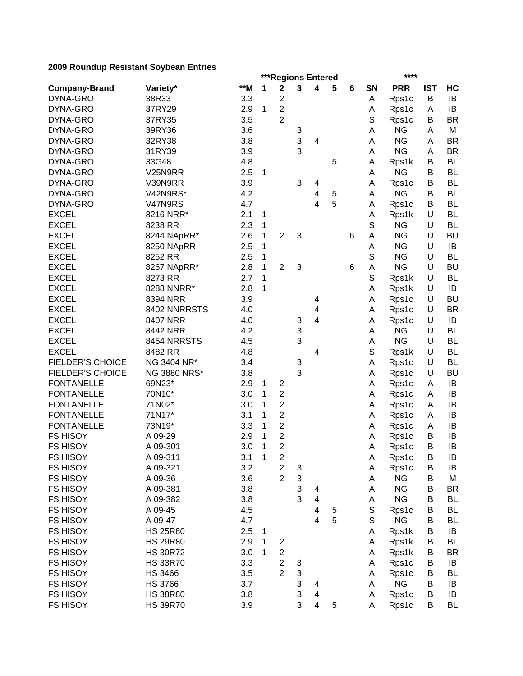|                         |                     | ***Regions Entered<br>**** |   |                         |                                |                         |        |   |             |                    |            |                |  |
|-------------------------|---------------------|----------------------------|---|-------------------------|--------------------------------|-------------------------|--------|---|-------------|--------------------|------------|----------------|--|
| <b>Company-Brand</b>    | Variety*            | **M                        | 1 | $\mathbf 2$             | 3                              | 4                       | 5      | 6 | <b>SN</b>   | <b>PRR</b>         | <b>IST</b> | HC             |  |
| DYNA-GRO                | 38R33               | 3.3                        |   | $\mathbf 2$             |                                |                         |        |   | Α           | Rps1c              | B          | IB             |  |
| DYNA-GRO                | 37RY29              | 2.9                        | 1 | $\overline{c}$          |                                |                         |        |   | А           | Rps1c              | A          | IB             |  |
| DYNA-GRO                | 37RY35              | 3.5                        |   | $\overline{2}$          |                                |                         |        |   | S           | Rps1c              | B          | <b>BR</b>      |  |
| DYNA-GRO                | 39RY36              | 3.6                        |   |                         | 3                              |                         |        |   | А           | <b>NG</b>          | A          | M              |  |
| DYNA-GRO                | 32RY38              | 3.8                        |   |                         | 3                              | $\overline{4}$          |        |   | A           | <b>NG</b>          | Α          | <b>BR</b>      |  |
| DYNA-GRO                | 31RY39              | 3.9                        |   |                         | 3                              |                         |        |   | A           | <b>NG</b>          | A          | <b>BR</b>      |  |
| DYNA-GRO                | 33G48               | 4.8                        |   |                         |                                |                         | 5      |   | Α           | Rps1k              | В          | <b>BL</b>      |  |
| DYNA-GRO                | V25N9RR             | 2.5                        | 1 |                         |                                |                         |        |   | A           | <b>NG</b>          | B          | <b>BL</b>      |  |
| DYNA-GRO                | V39N9RR             | 3.9                        |   |                         | 3                              | 4                       |        |   | Α           | Rps1c              | B          | <b>BL</b>      |  |
| DYNA-GRO                | V42N9RS*            | 4.2                        |   |                         |                                | 4                       | 5      |   | Α           | <b>NG</b>          | В          | <b>BL</b>      |  |
| DYNA-GRO                | V47N9RS             | 4.7                        |   |                         |                                | 4                       | 5      |   | Α           | Rps1c              | В          | <b>BL</b>      |  |
| <b>EXCEL</b>            | 8216 NRR*           | 2.1                        | 1 |                         |                                |                         |        |   | А           | Rps1k              | U          | <b>BL</b>      |  |
| <b>EXCEL</b>            | 8238 RR             | 2.3                        | 1 |                         |                                |                         |        |   | S           | <b>NG</b>          | U          | <b>BL</b>      |  |
| <b>EXCEL</b>            | 8244 NApRR*         | 2.6                        | 1 | $\overline{2}$          | 3                              |                         |        | 6 | Α           | <b>NG</b>          | U          | <b>BU</b>      |  |
| <b>EXCEL</b>            | 8250 NApRR          | 2.5                        | 1 |                         |                                |                         |        |   | A           | <b>NG</b>          | U          | IB             |  |
| <b>EXCEL</b>            | 8252 RR             | 2.5                        | 1 |                         |                                |                         |        |   | S           | <b>NG</b>          | U          | <b>BL</b>      |  |
| <b>EXCEL</b>            | 8267 NApRR*         | 2.8                        | 1 | $\overline{2}$          | 3                              |                         |        | 6 | A           | <b>NG</b>          | U          | <b>BU</b>      |  |
| <b>EXCEL</b>            | 8273 RR             | 2.7                        | 1 |                         |                                |                         |        |   | S           | Rps1k              | U          | <b>BL</b>      |  |
| <b>EXCEL</b>            | 8288 NNRR*          | 2.8                        | 1 |                         |                                |                         |        |   | Α           | Rps1k              | U          | IB             |  |
| <b>EXCEL</b>            | 8394 NRR            | 3.9                        |   |                         |                                | 4                       |        |   | Α           | Rps1c              | U          | <b>BU</b>      |  |
| <b>EXCEL</b>            | 8402 NNRRSTS        | 4.0                        |   |                         |                                | $\overline{\mathbf{4}}$ |        |   | Α           | Rps1c              | U          | <b>BR</b>      |  |
| <b>EXCEL</b>            | 8407 NRR            | 4.0                        |   |                         | 3                              | $\overline{4}$          |        |   | Α           | Rps1c              | U          | IB             |  |
| <b>EXCEL</b>            | 8442 NRR            | 4.2                        |   |                         | 3                              |                         |        |   | A           | <b>NG</b>          | U          | <b>BL</b>      |  |
| <b>EXCEL</b>            | 8454 NRRSTS         | 4.5                        |   |                         | 3                              |                         |        |   | Α           | <b>NG</b>          | U          | <b>BL</b>      |  |
| <b>EXCEL</b>            | 8482 RR             | 4.8                        |   |                         |                                | 4                       |        |   | S           | Rps1k              | U          | <b>BL</b>      |  |
| <b>FIELDER'S CHOICE</b> | NG 3404 NR*         | 3.4                        |   |                         | 3                              |                         |        |   | Α           | Rps1c              | U          | <b>BL</b>      |  |
| FIELDER'S CHOICE        | <b>NG 3880 NRS*</b> | 3.8                        |   |                         | 3                              |                         |        |   | Α           | Rps1c              | U          | <b>BU</b>      |  |
| <b>FONTANELLE</b>       | 69N23*              | 2.9                        | 1 | $\overline{\mathbf{c}}$ |                                |                         |        |   | Α           | Rps1c              | Α          | IB             |  |
| <b>FONTANELLE</b>       | 70N10*              | 3.0                        | 1 | $\overline{c}$          |                                |                         |        |   | Α           | Rps1c              | Α          | IB             |  |
| <b>FONTANELLE</b>       | 71N02*              | 3.0                        | 1 | $\mathbf 2$             |                                |                         |        |   | Α           | Rps1c              | Α          | IB             |  |
| <b>FONTANELLE</b>       | 71N17*              | 3.1                        | 1 | $\overline{2}$          |                                |                         |        |   | Α           | Rps1c              | A          | IB             |  |
| <b>FONTANELLE</b>       | 73N19*              | 3.3                        | 1 | $\overline{c}$          |                                |                         |        |   | A           | Rps1c              | Α          | IB             |  |
| <b>FS HISOY</b>         | A 09-29             | 2.9                        | 1 | $\boldsymbol{2}$        |                                |                         |        |   | A           | Rps1c              | B          | IB             |  |
| <b>FS HISOY</b>         | A 09-301            | 3.0                        | 1 | $\overline{2}$          |                                |                         |        |   | A           | Rps1c              | B          | IB             |  |
| FS HISOY                | A 09-311            | 3.1                        | 1 | $\boldsymbol{2}$        |                                |                         |        |   | A           | Rps1c              | B          | IB             |  |
| <b>FS HISOY</b>         | A 09-321            | 3.2                        |   | $\overline{c}$          |                                |                         |        |   |             |                    | B          |                |  |
|                         | A 09-36             |                            |   | $\overline{2}$          | $\ensuremath{\mathsf{3}}$<br>3 |                         |        |   | Α           | Rps1c<br><b>NG</b> | B          | IB             |  |
| <b>FS HISOY</b>         |                     | 3.6                        |   |                         | 3                              |                         |        |   | Α           | <b>NG</b>          |            | M<br><b>BR</b> |  |
| <b>FS HISOY</b>         | A 09-381            | 3.8                        |   |                         | 3                              | 4                       |        |   | Α           |                    | B          |                |  |
| <b>FS HISOY</b>         | A 09-382            | 3.8                        |   |                         |                                | 4                       |        |   | Α           | <b>NG</b>          | B          | BL             |  |
| <b>FS HISOY</b>         | A 09-45             | 4.5                        |   |                         |                                | 4                       | 5<br>5 |   | S           | Rps1c              | B          | <b>BL</b>      |  |
| <b>FS HISOY</b>         | A 09-47             | 4.7                        |   |                         |                                | 4                       |        |   | $\mathbb S$ | <b>NG</b>          | B          | BL             |  |
| <b>FS HISOY</b>         | <b>HS 25R80</b>     | 2.5                        | 1 |                         |                                |                         |        |   | Α           | Rps1k              | B          | IB             |  |
| <b>FS HISOY</b>         | <b>HS 29R80</b>     | 2.9                        | 1 | 2                       |                                |                         |        |   | Α           | Rps1k              | В          | BL             |  |
| <b>FS HISOY</b>         | <b>HS 30R72</b>     | 3.0                        | 1 | $\overline{\mathbf{c}}$ |                                |                         |        |   | Α           | Rps1k              | B          | <b>BR</b>      |  |
| FS HISOY                | <b>HS 33R70</b>     | 3.3                        |   | $\boldsymbol{2}$        | 3                              |                         |        |   | Α           | Rps1c              | B          | IB             |  |
| <b>FS HISOY</b>         | <b>HS 3466</b>      | 3.5                        |   | $\overline{2}$          | 3                              |                         |        |   | Α           | Rps1c              | В          | <b>BL</b>      |  |
| <b>FS HISOY</b>         | <b>HS 3766</b>      | 3.7                        |   |                         | 3                              | 4                       |        |   | Α           | <b>NG</b>          | В          | IB             |  |
| <b>FS HISOY</b>         | <b>HS 38R80</b>     | 3.8                        |   |                         | 3                              | 4                       |        |   | Α           | Rps1c              | B          | IB             |  |
| <b>FS HISOY</b>         | <b>HS 39R70</b>     | 3.9                        |   |                         | 3                              | $\overline{\mathbf{4}}$ | 5      |   | Α           | Rps1c              | B          | <b>BL</b>      |  |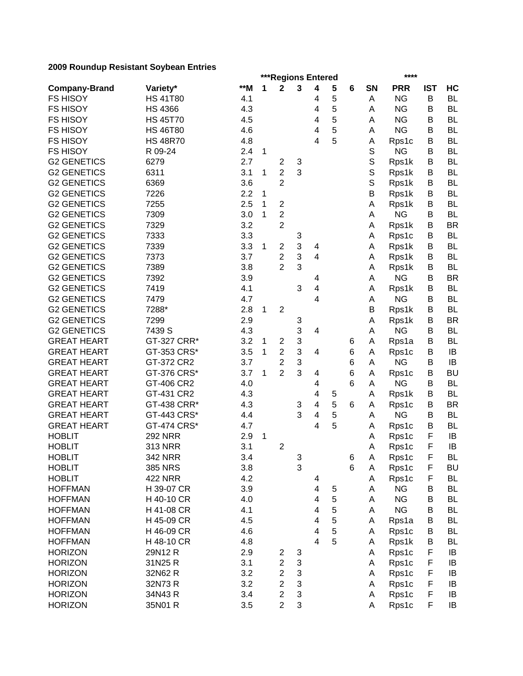|                      | ***Regions Entered         |       |   |                         |        |                |        |   |             |            | ****       |           |  |  |
|----------------------|----------------------------|-------|---|-------------------------|--------|----------------|--------|---|-------------|------------|------------|-----------|--|--|
| <b>Company-Brand</b> | Variety*                   | $**M$ | 1 | $\mathbf 2$             | 3      | 4              | 5      | 6 | <b>SN</b>   | <b>PRR</b> | <b>IST</b> | HC        |  |  |
| <b>FS HISOY</b>      | <b>HS 41T80</b>            | 4.1   |   |                         |        | 4              | 5      |   | Α           | <b>NG</b>  | B          | <b>BL</b> |  |  |
| <b>FS HISOY</b>      | <b>HS 4366</b>             | 4.3   |   |                         |        | 4              | 5      |   | A           | <b>NG</b>  | B          | <b>BL</b> |  |  |
| <b>FS HISOY</b>      | <b>HS 45T70</b>            | 4.5   |   |                         |        | 4              | 5      |   | A           | <b>NG</b>  | B          | <b>BL</b> |  |  |
| <b>FS HISOY</b>      | <b>HS 46T80</b>            | 4.6   |   |                         |        | 4              | 5      |   | Α           | <b>NG</b>  | B          | <b>BL</b> |  |  |
| <b>FS HISOY</b>      | <b>HS 48R70</b>            | 4.8   |   |                         |        | 4              | 5      |   | Α           | Rps1c      | B          | <b>BL</b> |  |  |
| <b>FS HISOY</b>      | R 09-24                    | 2.4   | 1 |                         |        |                |        |   | $\mathbb S$ | <b>NG</b>  | B          | <b>BL</b> |  |  |
| <b>G2 GENETICS</b>   | 6279                       | 2.7   |   | $\overline{\mathbf{c}}$ | 3      |                |        |   | $\mathbb S$ | Rps1k      | В          | <b>BL</b> |  |  |
| <b>G2 GENETICS</b>   | 6311                       | 3.1   | 1 | $\overline{2}$          | 3      |                |        |   | $\mathbb S$ | Rps1k      | B          | <b>BL</b> |  |  |
| <b>G2 GENETICS</b>   | 6369                       | 3.6   |   | $\overline{2}$          |        |                |        |   | S           | Rps1k      | B          | <b>BL</b> |  |  |
| <b>G2 GENETICS</b>   | 7226                       | 2.2   | 1 |                         |        |                |        |   | B           | Rps1k      | B          | <b>BL</b> |  |  |
| <b>G2 GENETICS</b>   | 7255                       | 2.5   | 1 | $\boldsymbol{2}$        |        |                |        |   | Α           | Rps1k      | В          | <b>BL</b> |  |  |
| <b>G2 GENETICS</b>   | 7309                       | 3.0   | 1 | $\overline{2}$          |        |                |        |   | Α           | <b>NG</b>  | В          | <b>BL</b> |  |  |
| <b>G2 GENETICS</b>   | 7329                       | 3.2   |   | $\overline{2}$          |        |                |        |   | A           | Rps1k      | В          | <b>BR</b> |  |  |
| <b>G2 GENETICS</b>   | 7333                       | 3.3   |   |                         | 3      |                |        |   | A           | Rps1c      | В          | <b>BL</b> |  |  |
| <b>G2 GENETICS</b>   | 7339                       | 3.3   | 1 | $\overline{\mathbf{c}}$ | 3      | 4              |        |   | A           | Rps1k      | B          | <b>BL</b> |  |  |
| <b>G2 GENETICS</b>   | 7373                       | 3.7   |   | $\overline{\mathbf{c}}$ | 3      | 4              |        |   | A           | Rps1k      | B          | <b>BL</b> |  |  |
| <b>G2 GENETICS</b>   | 7389                       | 3.8   |   | $\overline{2}$          | 3      |                |        |   | Α           | Rps1k      | B          | <b>BL</b> |  |  |
| <b>G2 GENETICS</b>   | 7392                       | 3.9   |   |                         |        | 4              |        |   | Α           | <b>NG</b>  | B          | <b>BR</b> |  |  |
| <b>G2 GENETICS</b>   | 7419                       | 4.1   |   |                         | 3      | 4              |        |   | Α           | Rps1k      | B          | <b>BL</b> |  |  |
| <b>G2 GENETICS</b>   | 7479                       | 4.7   |   |                         |        | 4              |        |   | Α           | <b>NG</b>  | В          | <b>BL</b> |  |  |
| <b>G2 GENETICS</b>   | 7288*                      | 2.8   | 1 | $\overline{2}$          |        |                |        |   | B           | Rps1k      | B          | <b>BL</b> |  |  |
| <b>G2 GENETICS</b>   | 7299                       | 2.9   |   |                         | 3      |                |        |   | Α           | Rps1k      | B          | <b>BR</b> |  |  |
| <b>G2 GENETICS</b>   | 7439 S                     | 4.3   |   |                         | 3      | 4              |        |   | Α           | <b>NG</b>  | B          | <b>BL</b> |  |  |
| <b>GREAT HEART</b>   | GT-327 CRR*                | 3.2   | 1 | $\overline{2}$          | 3      |                |        | 6 | Α           | Rps1a      | B          | <b>BL</b> |  |  |
| <b>GREAT HEART</b>   | GT-353 CRS*                | 3.5   | 1 | $\overline{2}$          | 3      | 4              |        | 6 | Α           | Rps1c      | B          | IB        |  |  |
| <b>GREAT HEART</b>   | GT-372 CR2                 | 3.7   |   | $\overline{2}$          | 3      |                |        | 6 | Α           | <b>NG</b>  | B          | IB        |  |  |
| <b>GREAT HEART</b>   | GT-376 CRS*                | 3.7   | 1 | $\overline{2}$          | 3      | 4              |        | 6 | Α           | Rps1c      | B          | <b>BU</b> |  |  |
| <b>GREAT HEART</b>   | GT-406 CR2                 | 4.0   |   |                         |        |                |        | 6 |             | <b>NG</b>  | B          | <b>BL</b> |  |  |
| <b>GREAT HEART</b>   | GT-431 CR2                 | 4.3   |   |                         |        | 4              |        |   | Α           | Rps1k      | В          | BL        |  |  |
|                      |                            |       |   |                         |        | 4              | 5<br>5 |   | A           |            |            | <b>BR</b> |  |  |
| <b>GREAT HEART</b>   | GT-438 CRR*<br>GT-443 CRS* | 4.3   |   |                         | 3<br>3 | 4              |        | 6 | A           | Rps1c      | B<br>B     | <b>BL</b> |  |  |
| <b>GREAT HEART</b>   |                            | 4.4   |   |                         |        | 4              | 5      |   | Α           | <b>NG</b>  |            |           |  |  |
| <b>GREAT HEART</b>   | GT-474 CRS*                | 4.7   |   |                         |        | 4              | 5      |   | Α           | Rps1c      | B          | <b>BL</b> |  |  |
| <b>HOBLIT</b>        | <b>292 NRR</b>             | 2.9   | 1 |                         |        |                |        |   | Α           | Rps1c      | F          | IB        |  |  |
| <b>HOBLIT</b>        | <b>313 NRR</b>             | 3.1   |   | $\mathbf 2$             |        |                |        |   | Α           | Rps1c      | F          | IB        |  |  |
| <b>HOBLIT</b>        | <b>342 NRR</b>             | 3.4   |   |                         | 3      |                |        | 6 | A           | Rps1c      | F          | BL        |  |  |
| <b>HOBLIT</b>        | 385 NRS                    | 3.8   |   |                         | 3      |                |        | 6 | A           | Rps1c      | F          | <b>BU</b> |  |  |
| <b>HOBLIT</b>        | <b>422 NRR</b>             | 4.2   |   |                         |        | 4              |        |   | Α           | Rps1c      | F          | <b>BL</b> |  |  |
| <b>HOFFMAN</b>       | H 39-07 CR                 | 3.9   |   |                         |        | 4              | 5      |   | Α           | <b>NG</b>  | B          | <b>BL</b> |  |  |
| <b>HOFFMAN</b>       | H 40-10 CR                 | 4.0   |   |                         |        | 4              | 5      |   | Α           | <b>NG</b>  | В          | <b>BL</b> |  |  |
| <b>HOFFMAN</b>       | H 41-08 CR                 | 4.1   |   |                         |        | 4              | 5      |   | Α           | <b>NG</b>  | B          | BL        |  |  |
| <b>HOFFMAN</b>       | H 45-09 CR                 | 4.5   |   |                         |        | 4              | 5      |   | Α           | Rps1a      | B          | <b>BL</b> |  |  |
| <b>HOFFMAN</b>       | H 46-09 CR                 | 4.6   |   |                         |        | 4              | 5      |   | Α           | Rps1c      | B          | <b>BL</b> |  |  |
| <b>HOFFMAN</b>       | H 48-10 CR                 | 4.8   |   |                         |        | $\overline{4}$ | 5      |   | Α           | Rps1k      | B          | <b>BL</b> |  |  |
| <b>HORIZON</b>       | 29N12R                     | 2.9   |   | 2                       | 3      |                |        |   | Α           | Rps1c      | F          | IB        |  |  |
| <b>HORIZON</b>       | 31N25 R                    | 3.1   |   | $\overline{\mathbf{c}}$ | 3      |                |        |   | Α           | Rps1c      | F          | IB        |  |  |
| <b>HORIZON</b>       | 32N62 R                    | 3.2   |   | $\overline{c}$          | 3      |                |        |   | Α           | Rps1c      | F          | IB        |  |  |
| <b>HORIZON</b>       | 32N73R                     | 3.2   |   | $\overline{c}$          | 3      |                |        |   | Α           | Rps1c      | F          | IB        |  |  |
| <b>HORIZON</b>       | 34N43R                     | 3.4   |   | $\overline{2}$          | 3      |                |        |   | Α           | Rps1c      | F          | IB        |  |  |
| <b>HORIZON</b>       | 35N01 R                    | 3.5   |   | $\overline{2}$          | 3      |                |        |   | Α           | Rps1c      | F          | IB        |  |  |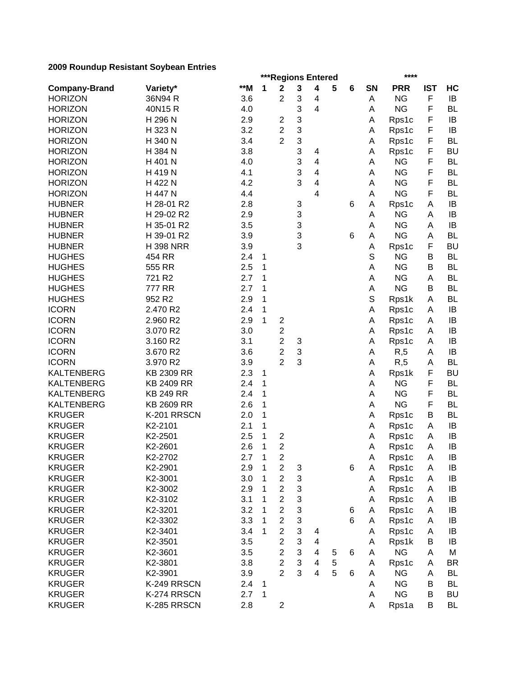|                      |                  | ***Regions Entered<br>**** |              |                         |   |   |   |   |             |            |            |           |  |  |
|----------------------|------------------|----------------------------|--------------|-------------------------|---|---|---|---|-------------|------------|------------|-----------|--|--|
| <b>Company-Brand</b> | Variety*         | $**M$                      | 1            | $\mathbf 2$             | 3 | 4 | 5 | 6 | <b>SN</b>   | <b>PRR</b> | <b>IST</b> | HC        |  |  |
| <b>HORIZON</b>       | 36N94 R          | 3.6                        |              | $\overline{2}$          | 3 | 4 |   |   | Α           | <b>NG</b>  | F          | IB        |  |  |
| <b>HORIZON</b>       | 40N15R           | 4.0                        |              |                         | 3 | 4 |   |   | Α           | <b>NG</b>  | F          | <b>BL</b> |  |  |
| <b>HORIZON</b>       | H 296 N          | 2.9                        |              | 2                       | 3 |   |   |   | Α           | Rps1c      | F          | IB        |  |  |
| <b>HORIZON</b>       | H 323 N          | 3.2                        |              | $\overline{2}$          | 3 |   |   |   | Α           | Rps1c      | F          | IB        |  |  |
| <b>HORIZON</b>       | H 340 N          | 3.4                        |              | $\overline{2}$          | 3 |   |   |   | Α           | Rps1c      | F          | <b>BL</b> |  |  |
| <b>HORIZON</b>       | H 384 N          | 3.8                        |              |                         | 3 | 4 |   |   | Α           | Rps1c      | F          | <b>BU</b> |  |  |
| <b>HORIZON</b>       | H 401 N          | 4.0                        |              |                         | 3 | 4 |   |   | Α           | <b>NG</b>  | F          | <b>BL</b> |  |  |
| <b>HORIZON</b>       | H 419 N          | 4.1                        |              |                         | 3 | 4 |   |   | Α           | <b>NG</b>  | F          | <b>BL</b> |  |  |
| <b>HORIZON</b>       | H 422 N          | 4.2                        |              |                         | 3 | 4 |   |   | A           | <b>NG</b>  | F          | <b>BL</b> |  |  |
| <b>HORIZON</b>       | H 447 N          | 4.4                        |              |                         |   | 4 |   |   | Α           | <b>NG</b>  | F          | <b>BL</b> |  |  |
| <b>HUBNER</b>        | H 28-01 R2       | 2.8                        |              |                         | 3 |   |   | 6 | Α           | Rps1c      | A          | IB        |  |  |
| <b>HUBNER</b>        | H 29-02 R2       | 2.9                        |              |                         | 3 |   |   |   | Α           | <b>NG</b>  | A          | IB        |  |  |
| <b>HUBNER</b>        | H 35-01 R2       | 3.5                        |              |                         | 3 |   |   |   | A           | <b>NG</b>  | A          | IB        |  |  |
| <b>HUBNER</b>        | H 39-01 R2       | 3.9                        |              |                         | 3 |   |   | 6 | Α           | <b>NG</b>  | Α          | <b>BL</b> |  |  |
| <b>HUBNER</b>        | <b>H398 NRR</b>  | 3.9                        |              |                         | 3 |   |   |   | A           | Rps1c      | F          | <b>BU</b> |  |  |
| <b>HUGHES</b>        | 454 RR           | 2.4                        | 1            |                         |   |   |   |   | S           | <b>NG</b>  | B          | <b>BL</b> |  |  |
| <b>HUGHES</b>        | 555 RR           | 2.5                        | 1            |                         |   |   |   |   | A           | <b>NG</b>  | B          | <b>BL</b> |  |  |
| <b>HUGHES</b>        | 721 R2           | 2.7                        | 1            |                         |   |   |   |   | A           | <b>NG</b>  | Α          | <b>BL</b> |  |  |
| <b>HUGHES</b>        | 777 RR           | 2.7                        | 1            |                         |   |   |   |   | Α           | <b>NG</b>  | В          | <b>BL</b> |  |  |
| <b>HUGHES</b>        | 952 R2           | 2.9                        | 1            |                         |   |   |   |   | $\mathbb S$ | Rps1k      | Α          | <b>BL</b> |  |  |
| <b>ICORN</b>         | 2.470 R2         | 2.4                        | 1            |                         |   |   |   |   | Α           | Rps1c      | Α          | IB        |  |  |
| <b>ICORN</b>         | 2.960 R2         | 2.9                        | 1            | $\overline{2}$          |   |   |   |   | Α           | Rps1c      | A          | IB        |  |  |
| <b>ICORN</b>         | 3.070 R2         | 3.0                        |              | $\overline{\mathbf{c}}$ |   |   |   |   | Α           | Rps1c      | A          | IB        |  |  |
| <b>ICORN</b>         | 3.160 R2         | 3.1                        |              | $\overline{c}$          | 3 |   |   |   | Α           | Rps1c      | A          | IB        |  |  |
| <b>ICORN</b>         | 3.670 R2         | 3.6                        |              | $\overline{c}$          | 3 |   |   |   | Α           | R, 5       | Α          | IB        |  |  |
| <b>ICORN</b>         | 3.970 R2         | 3.9                        |              | $\overline{2}$          | 3 |   |   |   | Α           | R, 5       | Α          | <b>BL</b> |  |  |
| <b>KALTENBERG</b>    | KB 2309 RR       | 2.3                        | 1            |                         |   |   |   |   | Α           | Rps1k      | F          | <b>BU</b> |  |  |
| <b>KALTENBERG</b>    | KB 2409 RR       | 2.4                        | 1            |                         |   |   |   |   | Α           | <b>NG</b>  | F          | <b>BL</b> |  |  |
| <b>KALTENBERG</b>    | <b>KB 249 RR</b> | 2.4                        | 1            |                         |   |   |   |   | Α           | <b>NG</b>  | F          | <b>BL</b> |  |  |
| <b>KALTENBERG</b>    | KB 2609 RR       | 2.6                        | 1            |                         |   |   |   |   | A           | <b>NG</b>  | F          | <b>BL</b> |  |  |
| <b>KRUGER</b>        | K-201 RRSCN      | 2.0                        | 1            |                         |   |   |   |   | Α           | Rps1c      | В          | <b>BL</b> |  |  |
| <b>KRUGER</b>        | K2-2101          | 2.1                        | 1            |                         |   |   |   |   | Α           | Rps1c      | Α          | IB        |  |  |
| <b>KRUGER</b>        | K2-2501          | 2.5                        | 1            | $\boldsymbol{2}$        |   |   |   |   | Α           | Rps1c      | Α          | IB        |  |  |
| <b>KRUGER</b>        | K2-2601          | 2.6                        | 1            | $\overline{2}$          |   |   |   |   | Α           | Rps1c      | A          | IB        |  |  |
| <b>KRUGER</b>        | K2-2702          | 2.7                        | $\mathbf{1}$ | $\sqrt{2}$              |   |   |   |   | Α           | Rps1c      | A          | IB        |  |  |
| <b>KRUGER</b>        | K2-2901          | 2.9                        | 1            | $\overline{c}$          | 3 |   |   | 6 | Α           | Rps1c      | Α          | IB        |  |  |
| <b>KRUGER</b>        | K2-3001          | 3.0                        | 1            | $\overline{c}$          | 3 |   |   |   | Α           | Rps1c      | Α          | IB        |  |  |
| <b>KRUGER</b>        | K2-3002          | 2.9                        |              | $\overline{c}$          | 3 |   |   |   |             | Rps1c      |            | IB        |  |  |
| <b>KRUGER</b>        | K2-3102          |                            |              | $\overline{c}$          | 3 |   |   |   | Α           |            | Α          |           |  |  |
|                      | K2-3201          | 3.1                        |              | $\overline{c}$          | 3 |   |   |   | Α           | Rps1c      | Α          | IB        |  |  |
| <b>KRUGER</b>        |                  | 3.2                        |              |                         |   |   |   | 6 | Α           | Rps1c      | A          | IB        |  |  |
| <b>KRUGER</b>        | K2-3302          | 3.3                        |              | $\overline{c}$          | 3 |   |   | 6 | Α           | Rps1c      | Α          | IB        |  |  |
| <b>KRUGER</b>        | K2-3401          | 3.4                        | 1            | $\overline{2}$          | 3 | 4 |   |   | Α           | Rps1c      | Α          | IB        |  |  |
| <b>KRUGER</b>        | K2-3501          | 3.5                        |              | $\overline{2}$          | 3 | 4 |   |   | Α           | Rps1k      | B          | IB        |  |  |
| <b>KRUGER</b>        | K2-3601          | 3.5                        |              | $\overline{2}$          | 3 | 4 | 5 | 6 | Α           | <b>NG</b>  | Α          | M         |  |  |
| <b>KRUGER</b>        | K2-3801          | 3.8                        |              | $\overline{2}$          | 3 | 4 | 5 |   | Α           | Rps1c      | Α          | <b>BR</b> |  |  |
| <b>KRUGER</b>        | K2-3901          | 3.9                        |              | $\overline{2}$          | 3 | 4 | 5 | 6 | Α           | <b>NG</b>  | Α          | <b>BL</b> |  |  |
| <b>KRUGER</b>        | K-249 RRSCN      | 2.4                        | 1            |                         |   |   |   |   | Α           | <b>NG</b>  | В          | <b>BL</b> |  |  |
| <b>KRUGER</b>        | K-274 RRSCN      | 2.7                        | 1            |                         |   |   |   |   | Α           | <b>NG</b>  | B          | <b>BU</b> |  |  |
| <b>KRUGER</b>        | K-285 RRSCN      | 2.8                        |              | $\overline{2}$          |   |   |   |   | A           | Rps1a      | B          | <b>BL</b> |  |  |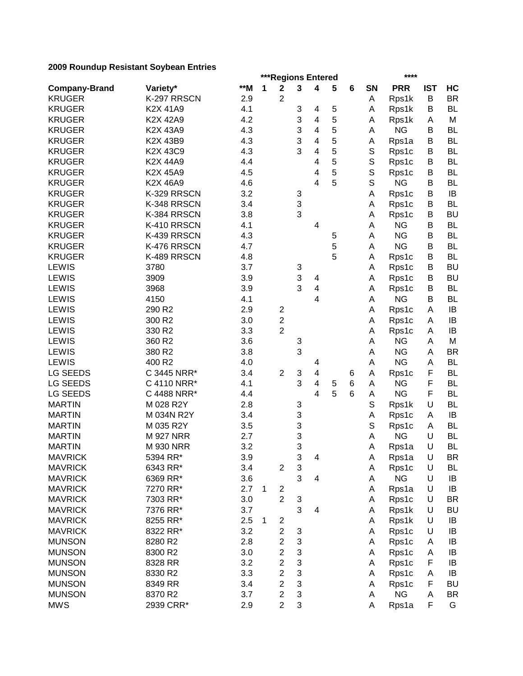|                                  |                  | ***Regions Entered<br>**** |   |                         |        |                         |   |   |             |                    |            |           |
|----------------------------------|------------------|----------------------------|---|-------------------------|--------|-------------------------|---|---|-------------|--------------------|------------|-----------|
| <b>Company-Brand</b>             | Variety*         | $**M$                      | 1 | $\mathbf 2$             | 3      | $\overline{\mathbf{4}}$ | 5 | 6 | <b>SN</b>   | <b>PRR</b>         | <b>IST</b> | HC        |
| <b>KRUGER</b>                    | K-297 RRSCN      | 2.9                        |   | $\overline{2}$          |        |                         |   |   | Α           | Rps1k              | B          | <b>BR</b> |
| <b>KRUGER</b>                    | K2X 41A9         | 4.1                        |   |                         | 3      | 4                       | 5 |   | Α           | Rps1k              | В          | <b>BL</b> |
| <b>KRUGER</b>                    | K2X 42A9         | 4.2                        |   |                         | 3      | 4                       | 5 |   | Α           | Rps1k              | Α          | M         |
| <b>KRUGER</b>                    | K2X 43A9         | 4.3                        |   |                         | 3      | 4                       | 5 |   | Α           | <b>NG</b>          | B          | <b>BL</b> |
| <b>KRUGER</b>                    | K2X 43B9         | 4.3                        |   |                         | 3      | $\overline{4}$          | 5 |   | Α           | Rps1a              | В          | <b>BL</b> |
| <b>KRUGER</b>                    | K2X 43C9         | 4.3                        |   |                         | 3      | 4                       | 5 |   | S           | Rps1c              | B          | <b>BL</b> |
| <b>KRUGER</b>                    | K2X 44A9         | 4.4                        |   |                         |        | 4                       | 5 |   | S           | Rps1c              | B          | <b>BL</b> |
| <b>KRUGER</b>                    | K2X 45A9         | 4.5                        |   |                         |        | 4                       | 5 |   | $\mathsf S$ | Rps1c              | B          | <b>BL</b> |
| <b>KRUGER</b>                    | K2X 46A9         | 4.6                        |   |                         |        | 4                       | 5 |   | $\mathsf S$ | <b>NG</b>          | B          | <b>BL</b> |
| <b>KRUGER</b>                    | K-329 RRSCN      | 3.2                        |   |                         | 3      |                         |   |   | Α           | Rps1c              | В          | IB        |
| <b>KRUGER</b>                    | K-348 RRSCN      | 3.4                        |   |                         | 3      |                         |   |   | Α           | Rps1c              | В          | <b>BL</b> |
| <b>KRUGER</b>                    | K-384 RRSCN      | 3.8                        |   |                         | 3      |                         |   |   | A           | Rps1c              | В          | <b>BU</b> |
| <b>KRUGER</b>                    | K-410 RRSCN      | 4.1                        |   |                         |        | 4                       |   |   | Α           | <b>NG</b>          | B          | <b>BL</b> |
| <b>KRUGER</b>                    | K-439 RRSCN      | 4.3                        |   |                         |        |                         | 5 |   | A           | <b>NG</b>          | В          | <b>BL</b> |
| <b>KRUGER</b>                    | K-476 RRSCN      | 4.7                        |   |                         |        |                         | 5 |   | A           | <b>NG</b>          | B          | <b>BL</b> |
| <b>KRUGER</b>                    | K-489 RRSCN      | 4.8                        |   |                         |        |                         | 5 |   | A           | Rps1c              | B          | <b>BL</b> |
| <b>LEWIS</b>                     | 3780             | 3.7                        |   |                         | 3      |                         |   |   | Α           | Rps1c              | B          | <b>BU</b> |
| <b>LEWIS</b>                     | 3909             | 3.9                        |   |                         | 3      | $\overline{\mathbf{4}}$ |   |   | Α           | Rps1c              | B          | <b>BU</b> |
| <b>LEWIS</b>                     | 3968             | 3.9                        |   |                         | 3      | $\overline{\mathbf{4}}$ |   |   | Α           | Rps1c              | B          | <b>BL</b> |
| LEWIS                            | 4150             | 4.1                        |   |                         |        | 4                       |   |   | A           | <b>NG</b>          | B          | <b>BL</b> |
| <b>LEWIS</b>                     | 290 R2           | 2.9                        |   | $\overline{c}$          |        |                         |   |   | А           | Rps1c              | A          | IB        |
| <b>LEWIS</b>                     | 300 R2           | 3.0                        |   | $\overline{c}$          |        |                         |   |   | А           | Rps1c              | A          | IB        |
| LEWIS                            | 330 R2           | 3.3                        |   | $\overline{2}$          |        |                         |   |   | А           | Rps1c              | A          | IB        |
| <b>LEWIS</b>                     | 360 R2           | 3.6                        |   |                         | 3      |                         |   |   | A           | <b>NG</b>          | A          | M         |
| <b>LEWIS</b>                     | 380 R2           | 3.8                        |   |                         | 3      |                         |   |   | A           | <b>NG</b>          | Α          | <b>BR</b> |
| <b>LEWIS</b>                     | 400 R2           | 4.0                        |   |                         |        | 4                       |   |   | А           | <b>NG</b>          | A          | <b>BL</b> |
| <b>LG SEEDS</b>                  | C 3445 NRR*      | 3.4                        |   | $\overline{2}$          | 3      | 4                       |   | 6 | А           | Rps1c              | F          | BL        |
| LG SEEDS                         | C 4110 NRR*      | 4.1                        |   |                         | 3      | 4                       | 5 | 6 | Α           | <b>NG</b>          | F          | BL        |
| <b>LG SEEDS</b>                  | C 4488 NRR*      | 4.4                        |   |                         |        | 4                       | 5 | 6 | Α           | <b>NG</b>          | F          | <b>BL</b> |
| <b>MARTIN</b>                    | M 028 R2Y        | 2.8                        |   |                         | 3      |                         |   |   | S           | Rps1k              | U          | <b>BL</b> |
| <b>MARTIN</b>                    | M 034N R2Y       | 3.4                        |   |                         | 3      |                         |   |   | А           | Rps1c              | Α          | IB        |
| <b>MARTIN</b>                    | M 035 R2Y        | 3.5                        |   |                         | 3      |                         |   |   | S           |                    | A          | <b>BL</b> |
| <b>MARTIN</b>                    | <b>M 927 NRR</b> | 2.7                        |   |                         |        |                         |   |   | А           | Rps1c<br><b>NG</b> | U          | <b>BL</b> |
| <b>MARTIN</b>                    | <b>M 930 NRR</b> | 3.2                        |   |                         | 3<br>3 |                         |   |   | А           |                    | U          | <b>BL</b> |
|                                  |                  |                            |   |                         | 3      |                         |   |   |             | Rps1a              |            | <b>BR</b> |
| <b>MAVRICK</b><br><b>MAVRICK</b> | 5394 RR*         | 3.9                        |   |                         |        | 4                       |   |   | A           | Rps1a              | U<br>U     |           |
|                                  | 6343 RR*         | 3.4                        |   | $\overline{c}$          | 3<br>3 |                         |   |   | Α           | Rps1c<br><b>NG</b> |            | BL        |
| <b>MAVRICK</b>                   | 6369 RR*         | 3.6                        |   |                         |        | 4                       |   |   | Α           |                    | U          | IB        |
| <b>MAVRICK</b>                   | 7270 RR*         | 2.7                        | 1 | $\overline{c}$          |        |                         |   |   | Α           | Rps1a              | U          | IB        |
| <b>MAVRICK</b>                   | 7303 RR*         | 3.0                        |   | $\overline{c}$          | 3      |                         |   |   | Α           | Rps1c              | U          | <b>BR</b> |
| <b>MAVRICK</b>                   | 7376 RR*         | 3.7                        |   |                         | 3      | 4                       |   |   | Α           | Rps1k              | U          | <b>BU</b> |
| <b>MAVRICK</b>                   | 8255 RR*         | 2.5                        | 1 | $\overline{\mathbf{c}}$ |        |                         |   |   | Α           | Rps1k              | U          | IB        |
| <b>MAVRICK</b>                   | 8322 RR*         | 3.2                        |   | $\overline{2}$          | 3      |                         |   |   | Α           | Rps1c              | U          | IB        |
| <b>MUNSON</b>                    | 8280 R2          | 2.8                        |   | $\overline{c}$          | 3      |                         |   |   | Α           | Rps1c              | A          | IB        |
| <b>MUNSON</b>                    | 8300 R2          | 3.0                        |   | $\overline{c}$          | 3      |                         |   |   | Α           | Rps1c              | Α          | IB        |
| <b>MUNSON</b>                    | 8328 RR          | 3.2                        |   | $\overline{\mathbf{c}}$ | 3      |                         |   |   | A           | Rps1c              | F          | IB        |
| <b>MUNSON</b>                    | 8330 R2          | 3.3                        |   | $\overline{2}$          | 3      |                         |   |   | A           | Rps1c              | Α          | IB        |
| <b>MUNSON</b>                    | 8349 RR          | 3.4                        |   | $\overline{c}$          | 3      |                         |   |   | Α           | Rps1c              | F          | <b>BU</b> |
| <b>MUNSON</b>                    | 8370 R2          | 3.7                        |   | $\mathbf{2}$            | 3      |                         |   |   | A           | <b>NG</b>          | A          | <b>BR</b> |
| <b>MWS</b>                       | 2939 CRR*        | 2.9                        |   | $\overline{2}$          | 3      |                         |   |   | Α           | Rps1a              | F          | G         |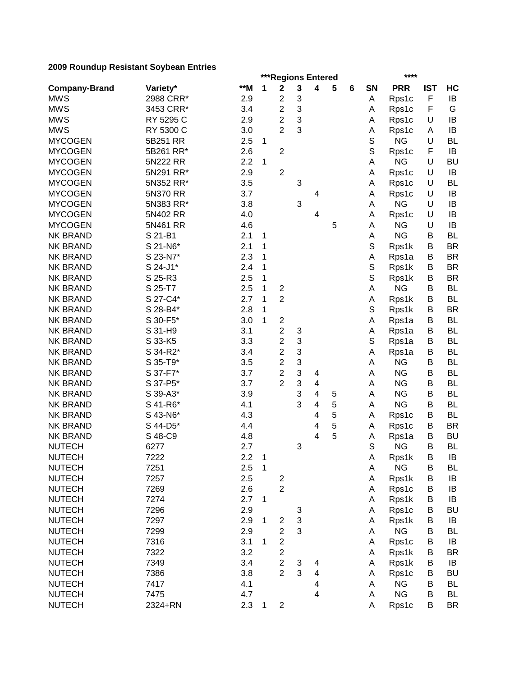|                      |           | ***Regions Entered<br>**** |             |                         |        |                         |   |   |             |                    |             |           |  |  |
|----------------------|-----------|----------------------------|-------------|-------------------------|--------|-------------------------|---|---|-------------|--------------------|-------------|-----------|--|--|
| <b>Company-Brand</b> | Variety*  | $**M$                      | 1           | $\mathbf 2$             | 3      | 4                       | 5 | 6 | SN          | <b>PRR</b>         | <b>IST</b>  | HC        |  |  |
| <b>MWS</b>           | 2988 CRR* | 2.9                        |             | $\overline{\mathbf{c}}$ | 3      |                         |   |   | A           | Rps1c              | $\mathsf F$ | IB        |  |  |
| <b>MWS</b>           | 3453 CRR* | 3.4                        |             | $\overline{c}$          | 3      |                         |   |   | A           | Rps1c              | F           | G         |  |  |
| <b>MWS</b>           | RY 5295 C | 2.9                        |             | 2                       | 3      |                         |   |   | Α           | Rps1c              | U           | IB        |  |  |
| <b>MWS</b>           | RY 5300 C | 3.0                        |             | $\overline{2}$          | 3      |                         |   |   | А           | Rps1c              | A           | IB        |  |  |
| <b>MYCOGEN</b>       | 5B251 RR  | 2.5                        | 1           |                         |        |                         |   |   | $\mathbb S$ | <b>NG</b>          | U           | <b>BL</b> |  |  |
| <b>MYCOGEN</b>       | 5B261 RR* | 2.6                        |             | $\overline{2}$          |        |                         |   |   | S           | Rps1c              | F           | IB        |  |  |
| <b>MYCOGEN</b>       | 5N222 RR  | 2.2                        | 1           |                         |        |                         |   |   | А           | <b>NG</b>          | U           | <b>BU</b> |  |  |
| <b>MYCOGEN</b>       | 5N291 RR* | 2.9                        |             | $\overline{2}$          |        |                         |   |   | A           | Rps1c              | U           | IB        |  |  |
| <b>MYCOGEN</b>       | 5N352 RR* | 3.5                        |             |                         | 3      |                         |   |   | Α           | Rps1c              | U           | BL        |  |  |
| <b>MYCOGEN</b>       | 5N370 RR  | 3.7                        |             |                         |        | 4                       |   |   | A           | Rps1c              | U           | IB        |  |  |
| <b>MYCOGEN</b>       | 5N383 RR* | 3.8                        |             |                         | 3      |                         |   |   | А           | <b>NG</b>          | U           | IB        |  |  |
| <b>MYCOGEN</b>       | 5N402 RR  | 4.0                        |             |                         |        | 4                       |   |   | Α           | Rps1c              | U           | IB        |  |  |
| <b>MYCOGEN</b>       | 5N461 RR  | 4.6                        |             |                         |        |                         | 5 |   | A           | ΝG                 | U           | IB        |  |  |
| <b>NK BRAND</b>      | S 21-B1   | 2.1                        | 1           |                         |        |                         |   |   | Α           | <b>NG</b>          | B           | <b>BL</b> |  |  |
| <b>NK BRAND</b>      | S 21-N6*  | 2.1                        | 1           |                         |        |                         |   |   | S           | Rps1k              | В           | <b>BR</b> |  |  |
| <b>NK BRAND</b>      | S 23-N7*  | 2.3                        | 1           |                         |        |                         |   |   | Α           | Rps1a              | В           | <b>BR</b> |  |  |
| <b>NK BRAND</b>      | S 24-J1*  | 2.4                        | 1           |                         |        |                         |   |   | S           | Rps1k              | В           | <b>BR</b> |  |  |
| <b>NK BRAND</b>      | S 25-R3   | 2.5                        | 1           |                         |        |                         |   |   | S           | Rps1k              | B           | <b>BR</b> |  |  |
| <b>NK BRAND</b>      | S 25-T7   | 2.5                        | 1           | $\overline{\mathbf{c}}$ |        |                         |   |   | Α           | <b>NG</b>          | B           | <b>BL</b> |  |  |
| <b>NK BRAND</b>      | S 27-C4*  | 2.7                        | 1           | $\overline{2}$          |        |                         |   |   | А           | Rps1k              | B           | <b>BL</b> |  |  |
| <b>NK BRAND</b>      | S 28-B4*  | 2.8                        | 1           |                         |        |                         |   |   | S           | Rps1k              | B           | <b>BR</b> |  |  |
| <b>NK BRAND</b>      | S 30-F5*  | 3.0                        | 1           | $\overline{\mathbf{c}}$ |        |                         |   |   | Α           | Rps1a              | B           | <b>BL</b> |  |  |
| <b>NK BRAND</b>      | S 31-H9   | 3.1                        |             | $\overline{\mathbf{c}}$ |        |                         |   |   |             |                    | В           | <b>BL</b> |  |  |
| <b>NK BRAND</b>      |           |                            |             | $\overline{c}$          | 3<br>3 |                         |   |   | Α<br>S      | Rps1a              | B           | BL        |  |  |
| <b>NK BRAND</b>      | S 33-K5   | 3.3<br>3.4                 |             | $\overline{c}$          | 3      |                         |   |   |             | Rps1a              | B           | BL        |  |  |
| <b>NK BRAND</b>      | S 34-R2*  |                            |             | $\overline{2}$          | 3      |                         |   |   | А           | Rps1a<br><b>NG</b> | B           | BL        |  |  |
|                      | S 35-T9*  | 3.5                        |             | $\overline{2}$          | 3      |                         |   |   | Α           |                    | B           |           |  |  |
| <b>NK BRAND</b>      | S 37-F7*  | 3.7                        |             | $\overline{2}$          | 3      | 4                       |   |   | Α           | <b>NG</b>          | B           | BL        |  |  |
| <b>NK BRAND</b>      | S 37-P5*  | 3.7                        |             |                         |        | $\overline{\mathbf{4}}$ |   |   | Α           | <b>NG</b>          |             | <b>BL</b> |  |  |
| <b>NK BRAND</b>      | S 39-A3*  | 3.9                        |             |                         | 3      | 4                       | 5 |   | Α           | <b>NG</b>          | В           | BL        |  |  |
| <b>NK BRAND</b>      | S 41-R6*  | 4.1                        |             |                         | 3      | 4                       | 5 |   | Α           | <b>NG</b>          | B           | <b>BL</b> |  |  |
| <b>NK BRAND</b>      | S 43-N6*  | 4.3                        |             |                         |        | 4                       | 5 |   | A           | Rps1c              | B           | BL        |  |  |
| <b>NK BRAND</b>      | S 44-D5*  | 4.4                        |             |                         |        | 4                       | 5 |   | A           | Rps1c              | B           | <b>BR</b> |  |  |
| <b>NK BRAND</b>      | S 48-C9   | 4.8                        |             |                         |        | 4                       | 5 |   | Α           | Rps1a              | B           | <b>BU</b> |  |  |
| <b>NUTECH</b>        | 6277      | 2.7                        |             |                         | 3      |                         |   |   | S           | <b>NG</b>          | B           | <b>BL</b> |  |  |
| <b>NUTECH</b>        | 7222      | 2.2                        | 1           |                         |        |                         |   |   | Α           | Rps1k              | В           | IB        |  |  |
| <b>NUTECH</b>        | 7251      | 2.5                        | $\mathbf 1$ |                         |        |                         |   |   | Α           | <b>NG</b>          | B           | <b>BL</b> |  |  |
| <b>NUTECH</b>        | 7257      | 2.5                        |             | 2                       |        |                         |   |   | Α           | Rps1k              | B           | IB        |  |  |
| <b>NUTECH</b>        | 7269      | 2.6                        |             | $\overline{2}$          |        |                         |   |   | Α           | Rps1c              | B           | IB        |  |  |
| <b>NUTECH</b>        | 7274      | 2.7                        | 1           |                         |        |                         |   |   | A           | Rps1k              | B           | IB        |  |  |
| <b>NUTECH</b>        | 7296      | 2.9                        |             |                         | 3      |                         |   |   | Α           | Rps1c              | B           | <b>BU</b> |  |  |
| <b>NUTECH</b>        | 7297      | 2.9                        | 1           | 2                       | 3      |                         |   |   | A           | Rps1k              | B           | IB        |  |  |
| <b>NUTECH</b>        | 7299      | 2.9                        |             | $\overline{c}$          | 3      |                         |   |   | Α           | <b>NG</b>          | B           | <b>BL</b> |  |  |
| <b>NUTECH</b>        | 7316      | 3.1                        | 1           | $\boldsymbol{2}$        |        |                         |   |   | Α           | Rps1c              | B           | IB        |  |  |
| <b>NUTECH</b>        | 7322      | 3.2                        |             | $\overline{\mathbf{c}}$ |        |                         |   |   | Α           | Rps1k              | B           | <b>BR</b> |  |  |
| <b>NUTECH</b>        | 7349      | 3.4                        |             | $\overline{\mathbf{c}}$ | 3      | 4                       |   |   | Α           | Rps1k              | В           | IB        |  |  |
| <b>NUTECH</b>        | 7386      | 3.8                        |             | $\overline{2}$          | 3      | 4                       |   |   | Α           | Rps1c              | B           | <b>BU</b> |  |  |
| <b>NUTECH</b>        | 7417      | 4.1                        |             |                         |        | 4                       |   |   | Α           | <b>NG</b>          | B           | BL        |  |  |
| <b>NUTECH</b>        | 7475      | 4.7                        |             |                         |        | 4                       |   |   | A           | <b>NG</b>          | B           | <b>BL</b> |  |  |
| <b>NUTECH</b>        | 2324+RN   | 2.3                        | 1           | $\overline{\mathbf{c}}$ |        |                         |   |   | Α           | Rps1c              | B           | <b>BR</b> |  |  |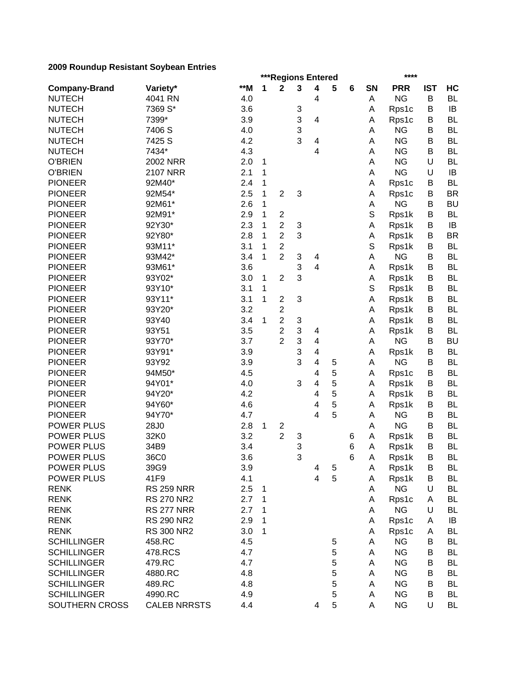|                      | ***Regions Entered<br>**** |            |   |                                           |                           |                |        |        |           |                    |            |                        |
|----------------------|----------------------------|------------|---|-------------------------------------------|---------------------------|----------------|--------|--------|-----------|--------------------|------------|------------------------|
| <b>Company-Brand</b> | Variety*                   | **M        | 1 | $\mathbf{2}$                              | 3                         | 4              | 5      | 6      | <b>SN</b> | <b>PRR</b>         | <b>IST</b> | HC                     |
| <b>NUTECH</b>        | 4041 RN                    | 4.0        |   |                                           |                           | 4              |        |        | Α         | <b>NG</b>          | B          | <b>BL</b>              |
| <b>NUTECH</b>        | 7369 S*                    | 3.6        |   |                                           | 3                         |                |        |        | А         | Rps1c              | B          | IB                     |
| <b>NUTECH</b>        | 7399*                      | 3.9        |   |                                           | 3                         | 4              |        |        | А         | Rps1c              | B          | <b>BL</b>              |
| <b>NUTECH</b>        | 7406 S                     | 4.0        |   |                                           | 3                         |                |        |        | А         | <b>NG</b>          | B          | <b>BL</b>              |
| <b>NUTECH</b>        | 7425 S                     | 4.2        |   |                                           | 3                         | 4              |        |        | Α         | <b>NG</b>          | B          | <b>BL</b>              |
| <b>NUTECH</b>        | 7434*                      | 4.3        |   |                                           |                           | 4              |        |        | Α         | <b>NG</b>          | B          | <b>BL</b>              |
| <b>O'BRIEN</b>       | <b>2002 NRR</b>            | 2.0        | 1 |                                           |                           |                |        |        | A         | <b>NG</b>          | U          | <b>BL</b>              |
| <b>O'BRIEN</b>       | <b>2107 NRR</b>            | 2.1        | 1 |                                           |                           |                |        |        | A         | <b>NG</b>          | U          | IB                     |
| <b>PIONEER</b>       | 92M40*                     | 2.4        | 1 |                                           |                           |                |        |        | Α         | Rps1c              | B          | <b>BL</b>              |
| <b>PIONEER</b>       | 92M54*                     | 2.5        | 1 | $\overline{c}$                            | 3                         |                |        |        | Α         | Rps1c              | B          | <b>BR</b>              |
| <b>PIONEER</b>       | 92M61*                     | 2.6        | 1 |                                           |                           |                |        |        | А         | <b>NG</b>          | В          | <b>BU</b>              |
| <b>PIONEER</b>       | 92M91*                     | 2.9        | 1 | $\overline{\mathbf{c}}$                   |                           |                |        |        | S         | Rps1k              | В          | <b>BL</b>              |
| <b>PIONEER</b>       | 92Y30*                     | 2.3        | 1 | $\overline{c}$                            | 3                         |                |        |        | A         | Rps1k              | В          | IB                     |
| <b>PIONEER</b>       | 92Y80*                     | 2.8        | 1 | $\mathbf 2$                               | 3                         |                |        |        | А         | Rps1k              | В          | <b>BR</b>              |
| <b>PIONEER</b>       | 93M11*                     | 3.1        | 1 | $\overline{c}$                            |                           |                |        |        | S         | Rps1k              | B          | <b>BL</b>              |
| <b>PIONEER</b>       | 93M42*                     | 3.4        | 1 | $\overline{2}$                            | 3                         | 4              |        |        | Α         | <b>NG</b>          | B          | <b>BL</b>              |
| <b>PIONEER</b>       | 93M61*                     | 3.6        |   |                                           | 3                         | 4              |        |        | А         | Rps1k              | B          | <b>BL</b>              |
| <b>PIONEER</b>       | 93Y02*                     | 3.0        | 1 | $\overline{2}$                            | 3                         |                |        |        | А         | Rps1k              | B          | <b>BL</b>              |
| <b>PIONEER</b>       | 93Y10*                     | 3.1        | 1 |                                           |                           |                |        |        | S         | Rps1k              | B          | BL                     |
| <b>PIONEER</b>       | 93Y11*                     | 3.1        | 1 | $\overline{c}$                            | 3                         |                |        |        | А         | Rps1k              | B          | <b>BL</b>              |
| <b>PIONEER</b>       | 93Y20*                     | 3.2        |   | $\overline{c}$                            |                           |                |        |        | Α         | Rps1k              | B          | <b>BL</b>              |
| <b>PIONEER</b>       | 93Y40                      | 3.4        | 1 | $\overline{2}$                            | $\ensuremath{\mathsf{3}}$ |                |        |        | Α         | Rps1k              | B          | <b>BL</b>              |
| <b>PIONEER</b>       | 93Y51                      | 3.5        |   | $\overline{c}$                            | 3                         | 4              |        |        | Α         | Rps1k              | B          | <b>BL</b>              |
| <b>PIONEER</b>       | 93Y70*                     | 3.7        |   | $\overline{2}$                            | 3                         | $\overline{4}$ |        |        | A         | <b>NG</b>          | B          | <b>BU</b>              |
| <b>PIONEER</b>       | 93Y91*                     | 3.9        |   |                                           | 3                         | $\overline{4}$ |        |        | А         | Rps1k              | B          | <b>BL</b>              |
| <b>PIONEER</b>       | 93Y92                      | 3.9        |   |                                           | 3                         | 4              | 5      |        | Α         | <b>NG</b>          | B          | BL                     |
| <b>PIONEER</b>       | 94M50*                     | 4.5        |   |                                           |                           | 4              | 5      |        | Α         | Rps1c              | B          | <b>BL</b>              |
| <b>PIONEER</b>       | 94Y01*                     | 4.0        |   |                                           | 3                         | 4              | 5      |        | Α         | Rps1k              | B          | BL                     |
| <b>PIONEER</b>       | 94Y20*                     | 4.2        |   |                                           |                           | 4              | 5      |        | Α         | Rps1k              | B          | BL                     |
| <b>PIONEER</b>       | 94Y60*                     | 4.6        |   |                                           |                           | 4              | 5      |        | A         | Rps1k              | B          | BL                     |
| <b>PIONEER</b>       | 94Y70*                     | 4.7        |   |                                           |                           | 4              | 5      |        | A         | <b>NG</b>          | B          | <b>BL</b>              |
| POWER PLUS           | 28J0                       | 2.8        | 1 |                                           |                           |                |        |        | A         | <b>NG</b>          | B          | <b>BL</b>              |
| POWER PLUS           | 32K0                       | 3.2        |   | $\overline{\mathbf{c}}$<br>$\overline{2}$ |                           |                |        |        | A         |                    | B          | <b>BL</b>              |
| <b>POWER PLUS</b>    | 34B9                       | 3.4        |   |                                           | 3<br>3                    |                |        | 6<br>6 | Α         | Rps1k              | B          | <b>BL</b>              |
| POWER PLUS           | 36C0                       | 3.6        |   |                                           | 3                         |                |        | 6      | A         | Rps1k              | В          | BL                     |
| POWER PLUS           |                            |            |   |                                           |                           |                |        |        |           | Rps1k              | B          |                        |
| POWER PLUS           | 39G9<br>41F9               | 3.9<br>4.1 |   |                                           |                           | 4<br>4         | 5<br>5 |        | A         | Rps1k              | B          | BL                     |
| <b>RENK</b>          |                            |            |   |                                           |                           |                |        |        | Α         | Rps1k<br><b>NG</b> | U          | <b>BL</b><br><b>BL</b> |
|                      | <b>RS 259 NRR</b>          | 2.5        | 1 |                                           |                           |                |        |        | Α         |                    |            |                        |
| <b>RENK</b>          | <b>RS 270 NR2</b>          | 2.7        | 1 |                                           |                           |                |        |        | Α         | Rps1c              | A          | BL                     |
| <b>RENK</b>          | <b>RS 277 NRR</b>          | 2.7        | 1 |                                           |                           |                |        |        | Α         | <b>NG</b>          | U          | <b>BL</b>              |
| <b>RENK</b>          | <b>RS 290 NR2</b>          | 2.9        | 1 |                                           |                           |                |        |        | Α         | Rps1c              | A          | IB                     |
| <b>RENK</b>          | <b>RS 300 NR2</b>          | 3.0        | 1 |                                           |                           |                |        |        | Α         | Rps1c              | Α          | BL                     |
| <b>SCHILLINGER</b>   | 458.RC                     | 4.5        |   |                                           |                           |                | 5      |        | A         | <b>NG</b>          | B          | BL                     |
| <b>SCHILLINGER</b>   | 478.RCS                    | 4.7        |   |                                           |                           |                | 5      |        | A         | <b>NG</b>          | B          | <b>BL</b>              |
| <b>SCHILLINGER</b>   | 479.RC                     | 4.7        |   |                                           |                           |                | 5      |        | A         | <b>NG</b>          | В          | <b>BL</b>              |
| <b>SCHILLINGER</b>   | 4880.RC                    | 4.8        |   |                                           |                           |                | 5      |        | A         | <b>NG</b>          | В          | <b>BL</b>              |
| <b>SCHILLINGER</b>   | 489.RC                     | 4.8        |   |                                           |                           |                | 5      |        | A         | <b>NG</b>          | В          | <b>BL</b>              |
| <b>SCHILLINGER</b>   | 4990.RC                    | 4.9        |   |                                           |                           |                | 5      |        | Α         | <b>NG</b>          | В          | BL                     |
| SOUTHERN CROSS       | <b>CALEB NRRSTS</b>        | 4.4        |   |                                           |                           | 4              | 5      |        | A         | <b>NG</b>          | U          | <b>BL</b>              |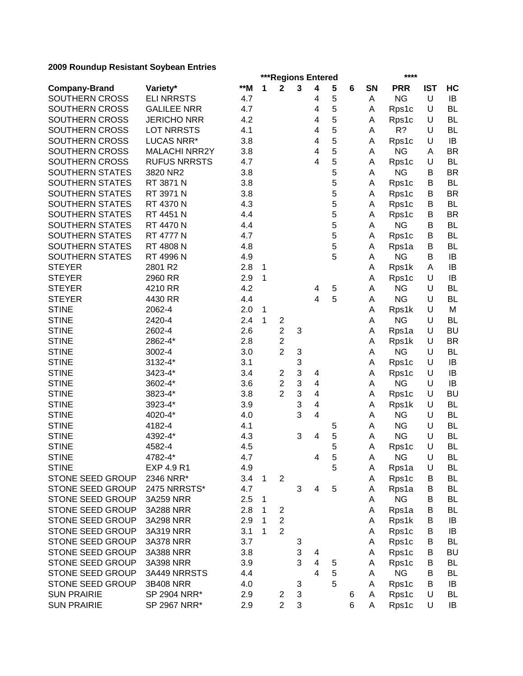|                        | ***Regions Entered<br>**** |       |             |                                           |   |                         |        |   |           |                    |            |           |
|------------------------|----------------------------|-------|-------------|-------------------------------------------|---|-------------------------|--------|---|-----------|--------------------|------------|-----------|
| <b>Company-Brand</b>   | Variety*                   | $**M$ | 1           | $\mathbf{2}$                              | 3 | 4                       | 5      | 6 | <b>SN</b> | <b>PRR</b>         | <b>IST</b> | HC        |
| SOUTHERN CROSS         | <b>ELI NRRSTS</b>          | 4.7   |             |                                           |   | 4                       | 5      |   | Α         | <b>NG</b>          | U          | IB        |
| SOUTHERN CROSS         | <b>GALILEE NRR</b>         | 4.7   |             |                                           |   | 4                       | 5      |   | A         | Rps1c              | U          | <b>BL</b> |
| SOUTHERN CROSS         | <b>JERICHO NRR</b>         | 4.2   |             |                                           |   | 4                       | 5      |   | Α         | Rps1c              | U          | <b>BL</b> |
| SOUTHERN CROSS         | <b>LOT NRRSTS</b>          | 4.1   |             |                                           |   | $\overline{\mathbf{4}}$ | 5      |   | Α         | $R$ ?              | U          | <b>BL</b> |
| SOUTHERN CROSS         | LUCAS NRR*                 | 3.8   |             |                                           |   | 4                       | 5      |   | Α         | Rps1c              | U          | IB        |
| SOUTHERN CROSS         | <b>MALACHI NRR2Y</b>       | 3.8   |             |                                           |   | 4                       | 5      |   | Α         | <b>NG</b>          | Α          | <b>BR</b> |
| SOUTHERN CROSS         | <b>RUFUS NRRSTS</b>        | 4.7   |             |                                           |   | $\overline{\mathbf{4}}$ | 5      |   | Α         | Rps1c              | U          | <b>BL</b> |
| <b>SOUTHERN STATES</b> | 3820 NR2                   | 3.8   |             |                                           |   |                         | 5      |   | Α         | <b>NG</b>          | В          | <b>BR</b> |
| <b>SOUTHERN STATES</b> | RT 3871 N                  | 3.8   |             |                                           |   |                         | 5      |   | Α         | Rps1c              | B          | <b>BL</b> |
| <b>SOUTHERN STATES</b> | RT 3971 N                  | 3.8   |             |                                           |   |                         | 5      |   | A         | Rps1c              | В          | <b>BR</b> |
| <b>SOUTHERN STATES</b> | RT 4370 N                  | 4.3   |             |                                           |   |                         | 5      |   | A         | Rps1c              | В          | <b>BL</b> |
| <b>SOUTHERN STATES</b> | RT 4451 N                  | 4.4   |             |                                           |   |                         | 5      |   | Α         | Rps1c              | В          | <b>BR</b> |
| <b>SOUTHERN STATES</b> | RT 4470 N                  | 4.4   |             |                                           |   |                         | 5      |   | Α         | <b>NG</b>          | B          | <b>BL</b> |
| SOUTHERN STATES        | <b>RT 4777 N</b>           | 4.7   |             |                                           |   |                         | 5      |   | Α         | Rps1c              | В          | <b>BL</b> |
| SOUTHERN STATES        | RT 4808 N                  | 4.8   |             |                                           |   |                         | 5      |   | Α         | Rps1a              | B          | <b>BL</b> |
| SOUTHERN STATES        | RT 4996 N                  | 4.9   |             |                                           |   |                         | 5      |   | Α         | <b>NG</b>          | B          | IB        |
| <b>STEYER</b>          | 2801 R2                    | 2.8   | 1           |                                           |   |                         |        |   | А         | Rps1k              | Α          | IB        |
| <b>STEYER</b>          | 2960 RR                    | 2.9   | 1           |                                           |   |                         |        |   | Α         | Rps1c              | U          | IB        |
| <b>STEYER</b>          | 4210 RR                    | 4.2   |             |                                           |   | 4                       | 5      |   | Α         | <b>NG</b>          | U          | <b>BL</b> |
| <b>STEYER</b>          | 4430 RR                    | 4.4   |             |                                           |   | $\overline{4}$          | 5      |   | A         | <b>NG</b>          | U          | <b>BL</b> |
| <b>STINE</b>           | 2062-4                     | 2.0   | 1           |                                           |   |                         |        |   | Α         | Rps1k              | U          | M         |
| <b>STINE</b>           | 2420-4                     | 2.4   | 1           | $\overline{c}$                            |   |                         |        |   | Α         | <b>NG</b>          | U          | <b>BL</b> |
| <b>STINE</b>           | 2602-4                     | 2.6   |             | $\overline{c}$                            | 3 |                         |        |   | Α         | Rps1a              | U          | <b>BU</b> |
| <b>STINE</b>           | 2862-4*                    | 2.8   |             | $\overline{c}$                            |   |                         |        |   | Α         | Rps1k              | U          | <b>BR</b> |
| <b>STINE</b>           | 3002-4                     | 3.0   |             | $\overline{2}$                            | 3 |                         |        |   | Α         | <b>NG</b>          | U          | <b>BL</b> |
| <b>STINE</b>           | 3132-4*                    | 3.1   |             |                                           | 3 |                         |        |   | Α         | Rps1c              | U          | IB        |
| <b>STINE</b>           | 3423-4*                    | 3.4   |             | $\overline{2}$                            | 3 | 4                       |        |   | Α         | Rps1c              | U          | IB        |
| <b>STINE</b>           | 3602-4*                    | 3.6   |             | $\overline{c}$                            | 3 | 4                       |        |   | Α         | <b>NG</b>          | U          | IB        |
| <b>STINE</b>           | 3823-4*                    | 3.8   |             | $\overline{2}$                            | 3 | 4                       |        |   | Α         | Rps1c              | U          | <b>BU</b> |
| <b>STINE</b>           | 3923-4*                    | 3.9   |             |                                           | 3 | 4                       |        |   | Α         | Rps1k              | U          | <b>BL</b> |
| <b>STINE</b>           | 4020-4*                    | 4.0   |             |                                           | 3 | 4                       |        |   | A         | <b>NG</b>          | U          | <b>BL</b> |
| <b>STINE</b>           | 4182-4                     | 4.1   |             |                                           |   |                         | 5      |   | A         | <b>NG</b>          | U          | <b>BL</b> |
| <b>STINE</b>           | 4392-4*                    | 4.3   |             |                                           | 3 | 4                       | 5      |   | A         | <b>NG</b>          | U          | <b>BL</b> |
| <b>STINE</b>           | 4582-4                     | 4.5   |             |                                           |   |                         | 5      |   | A         | Rps1c              | U          | <b>BL</b> |
| <b>STINE</b>           | 4782-4*                    | 4.7   |             |                                           |   | 4                       | 5      |   | A         | <b>NG</b>          | U          | <b>BL</b> |
| <b>STINE</b>           | EXP 4.9 R1                 | 4.9   |             |                                           |   |                         | 5      |   | A         | Rps1a              | U          | BL        |
| STONE SEED GROUP       | 2346 NRR*                  | 3.4   | $\mathbf 1$ | $\sqrt{2}$                                |   |                         |        |   | Α         | Rps1c              | В          | <b>BL</b> |
| STONE SEED GROUP       | 2475 NRRSTS*               | 4.7   |             |                                           | 3 | 4                       | 5      |   | Α         | Rps1a              | B          | <b>BL</b> |
| STONE SEED GROUP       | 3A259 NRR                  | 2.5   | 1           |                                           |   |                         |        |   | Α         | <b>NG</b>          | B          | BL        |
| STONE SEED GROUP       | 3A288 NRR                  | 2.8   | 1           | $\overline{c}$                            |   |                         |        |   | Α         | Rps1a              | B          | BL        |
| STONE SEED GROUP       | 3A298 NRR                  | 2.9   | 1           | $\overline{2}$                            |   |                         |        |   | Α         | Rps1k              | В          | IB        |
| STONE SEED GROUP       | 3A319 NRR                  | 3.1   | 1           | $\overline{2}$                            |   |                         |        |   | Α         | Rps1c              | B          | IB        |
| STONE SEED GROUP       | 3A378 NRR                  | 3.7   |             |                                           | 3 |                         |        |   | Α         | Rps1c              | В          | BL        |
| STONE SEED GROUP       | 3A388 NRR                  | 3.8   |             |                                           | 3 | 4                       |        |   | A         | Rps1c              | В          | <b>BU</b> |
| STONE SEED GROUP       | 3A398 NRR                  | 3.9   |             |                                           | 3 | 4                       |        |   |           |                    | B          | <b>BL</b> |
| STONE SEED GROUP       | 3A449 NRRSTS               | 4.4   |             |                                           |   | 4                       | 5<br>5 |   | A         | Rps1c<br><b>NG</b> | В          | <b>BL</b> |
| STONE SEED GROUP       |                            | 4.0   |             |                                           |   |                         | 5      |   | Α<br>A    |                    | B          | IB        |
|                        | 3B408 NRR                  |       |             |                                           | 3 |                         |        |   |           | Rps1c              |            |           |
| <b>SUN PRAIRIE</b>     | SP 2904 NRR*               | 2.9   |             | $\overline{\mathbf{c}}$<br>$\overline{2}$ | 3 |                         |        | 6 | Α         | Rps1c              | U          | <b>BL</b> |
| <b>SUN PRAIRIE</b>     | SP 2967 NRR*               | 2.9   |             |                                           | 3 |                         |        | 6 | A         | Rps1c              | U          | IB        |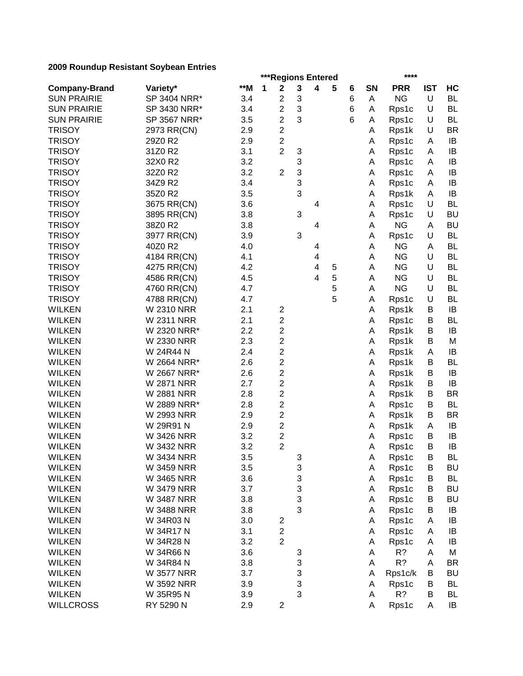|                      | ***Regions Entered<br>**** |       |   |                         |   |   |   |   |           |            |            |           |
|----------------------|----------------------------|-------|---|-------------------------|---|---|---|---|-----------|------------|------------|-----------|
| <b>Company-Brand</b> | Variety*                   | $**M$ | 1 | $\mathbf 2$             | 3 | 4 | 5 | 6 | <b>SN</b> | <b>PRR</b> | <b>IST</b> | HC        |
| <b>SUN PRAIRIE</b>   | SP 3404 NRR*               | 3.4   |   | 2                       | 3 |   |   | 6 | Α         | <b>NG</b>  | U          | <b>BL</b> |
| <b>SUN PRAIRIE</b>   | SP 3430 NRR*               | 3.4   |   | $\overline{c}$          | 3 |   |   | 6 | Α         | Rps1c      | U          | <b>BL</b> |
| <b>SUN PRAIRIE</b>   | SP 3567 NRR*               | 3.5   |   | $\overline{c}$          | 3 |   |   | 6 | Α         | Rps1c      | U          | <b>BL</b> |
| <b>TRISOY</b>        | 2973 RR(CN)                | 2.9   |   | $\overline{2}$          |   |   |   |   | Α         | Rps1k      | U          | <b>BR</b> |
| <b>TRISOY</b>        | 29Z0 R2                    | 2.9   |   | $\overline{c}$          |   |   |   |   | Α         | Rps1c      | A          | IB        |
| <b>TRISOY</b>        | 31Z0 R2                    | 3.1   |   | $\overline{2}$          | 3 |   |   |   | Α         | Rps1c      | A          | IB        |
| <b>TRISOY</b>        | 32X0 R2                    | 3.2   |   |                         | 3 |   |   |   | Α         | Rps1c      | Α          | IB        |
| <b>TRISOY</b>        | 32Z0 R2                    | 3.2   |   | $\overline{2}$          | 3 |   |   |   | Α         | Rps1c      | Α          | IB        |
| <b>TRISOY</b>        | 34Z9 R2                    | 3.4   |   |                         | 3 |   |   |   | Α         | Rps1c      | Α          | IB        |
| <b>TRISOY</b>        | 35Z0 R2                    | 3.5   |   |                         | 3 |   |   |   | Α         | Rps1k      | Α          | IB        |
| <b>TRISOY</b>        | 3675 RR(CN)                | 3.6   |   |                         |   | 4 |   |   | Α         | Rps1c      | U          | <b>BL</b> |
| <b>TRISOY</b>        | 3895 RR(CN)                | 3.8   |   |                         | 3 |   |   |   | Α         | Rps1c      | U          | <b>BU</b> |
| <b>TRISOY</b>        | 38Z0 R2                    | 3.8   |   |                         |   | 4 |   |   | A         | <b>NG</b>  | Α          | <b>BU</b> |
| <b>TRISOY</b>        | 3977 RR(CN)                | 3.9   |   |                         | 3 |   |   |   | А         | Rps1c      | U          | <b>BL</b> |
| <b>TRISOY</b>        | 40Z0 R2                    | 4.0   |   |                         |   | 4 |   |   | A         | <b>NG</b>  | A          | <b>BL</b> |
| <b>TRISOY</b>        | 4184 RR(CN)                | 4.1   |   |                         |   | 4 |   |   | А         | <b>NG</b>  | U          | <b>BL</b> |
| <b>TRISOY</b>        | 4275 RR(CN)                | 4.2   |   |                         |   | 4 | 5 |   | A         | <b>NG</b>  | U          | <b>BL</b> |
| <b>TRISOY</b>        | 4586 RR(CN)                | 4.5   |   |                         |   | 4 | 5 |   | A         | <b>NG</b>  | U          | <b>BL</b> |
| <b>TRISOY</b>        | 4760 RR(CN)                | 4.7   |   |                         |   |   | 5 |   | Α         | <b>NG</b>  | U          | <b>BL</b> |
| <b>TRISOY</b>        | 4788 RR(CN)                | 4.7   |   |                         |   |   | 5 |   | Α         | Rps1c      | U          | <b>BL</b> |
| <b>WILKEN</b>        | <b>W 2310 NRR</b>          | 2.1   |   | $\overline{c}$          |   |   |   |   | Α         |            | B          | IB        |
| <b>WILKEN</b>        | <b>W 2311 NRR</b>          | 2.1   |   | 2                       |   |   |   |   |           | Rps1k      | В          | BL        |
| <b>WILKEN</b>        | W 2320 NRR*                | 2.2   |   | $\overline{c}$          |   |   |   |   | Α         | Rps1c      | B          | IB        |
|                      |                            |       |   |                         |   |   |   |   | Α         | Rps1k      |            |           |
| <b>WILKEN</b>        | W 2330 NRR<br>W 24R44 N    | 2.3   |   | $\overline{c}$          |   |   |   |   | Α         | Rps1k      | B          | M         |
| <b>WILKEN</b>        |                            | 2.4   |   | $\overline{c}$          |   |   |   |   | Α         | Rps1k      | Α          | IB        |
| <b>WILKEN</b>        | W 2664 NRR*                | 2.6   |   | $\overline{\mathbf{c}}$ |   |   |   |   | Α         | Rps1k      | B          | BL        |
| <b>WILKEN</b>        | W 2667 NRR*                | 2.6   |   | $\overline{\mathbf{c}}$ |   |   |   |   | Α         | Rps1k      | B          | IB        |
| <b>WILKEN</b>        | <b>W 2871 NRR</b>          | 2.7   |   | $\overline{c}$          |   |   |   |   | Α         | Rps1k      | B          | IB        |
| <b>WILKEN</b>        | <b>W 2881 NRR</b>          | 2.8   |   | $\overline{c}$          |   |   |   |   | Α         | Rps1k      | B          | <b>BR</b> |
| <b>WILKEN</b>        | W 2889 NRR*                | 2.8   |   | $\overline{c}$          |   |   |   |   | A         | Rps1c      | B          | <b>BL</b> |
| <b>WILKEN</b>        | W 2993 NRR                 | 2.9   |   | 2                       |   |   |   |   | Α         | Rps1k      | В          | <b>BR</b> |
| <b>WILKEN</b>        | W 29R91 N                  | 2.9   |   | $\overline{c}$          |   |   |   |   | Α         | Rps1k      | Α          | IB        |
| <b>WILKEN</b>        | W 3426 NRR                 | 3.2   |   | 2                       |   |   |   |   | Α         | Rps1c      | B          | IB        |
| <b>WILKEN</b>        | W 3432 NRR                 | 3.2   |   | $\overline{2}$          |   |   |   |   | Α         | Rps1c      | B          | IB        |
| <b>WILKEN</b>        | W 3434 NRR                 | 3.5   |   |                         | 3 |   |   |   | Α         | Rps1c      | В          | BL        |
| <b>WILKEN</b>        | <b>W 3459 NRR</b>          | 3.5   |   |                         | 3 |   |   |   | Α         | Rps1c      | B          | <b>BU</b> |
| <b>WILKEN</b>        | <b>W 3465 NRR</b>          | 3.6   |   |                         | 3 |   |   |   | Α         | Rps1c      | Β          | <b>BL</b> |
| <b>WILKEN</b>        | <b>W 3479 NRR</b>          | 3.7   |   |                         | 3 |   |   |   | Α         | Rps1c      | B          | <b>BU</b> |
| <b>WILKEN</b>        | <b>W 3487 NRR</b>          | 3.8   |   |                         | 3 |   |   |   | A         | Rps1c      | В          | <b>BU</b> |
| <b>WILKEN</b>        | <b>W 3488 NRR</b>          | 3.8   |   |                         | 3 |   |   |   | Α         | Rps1c      | B          | IB        |
| <b>WILKEN</b>        | W 34R03 N                  | 3.0   |   | 2                       |   |   |   |   | A         | Rps1c      | Α          | IB        |
| <b>WILKEN</b>        | W 34R17 N                  | 3.1   |   | $\overline{c}$          |   |   |   |   | Α         | Rps1c      | Α          | IB        |
| <b>WILKEN</b>        | W 34R28 N                  | 3.2   |   | $\overline{2}$          |   |   |   |   | Α         | Rps1c      | Α          | IB        |
| <b>WILKEN</b>        | W 34R66 N                  | 3.6   |   |                         | 3 |   |   |   | Α         | R?         | Α          | M         |
| <b>WILKEN</b>        | W 34R84 N                  | 3.8   |   |                         | 3 |   |   |   | Α         | R?         | A          | <b>BR</b> |
| <b>WILKEN</b>        | <b>W 3577 NRR</b>          | 3.7   |   |                         | 3 |   |   |   | Α         | Rps1c/k    | В          | <b>BU</b> |
| <b>WILKEN</b>        | W 3592 NRR                 | 3.9   |   |                         | 3 |   |   |   | Α         | Rps1c      | В          | <b>BL</b> |
| <b>WILKEN</b>        | W 35R95 N                  | 3.9   |   |                         | 3 |   |   |   | A         | R?         | В          | <b>BL</b> |
| <b>WILLCROSS</b>     | RY 5290 N                  | 2.9   |   | $\overline{\mathbf{c}}$ |   |   |   |   | Α         | Rps1c      | A          | IB        |